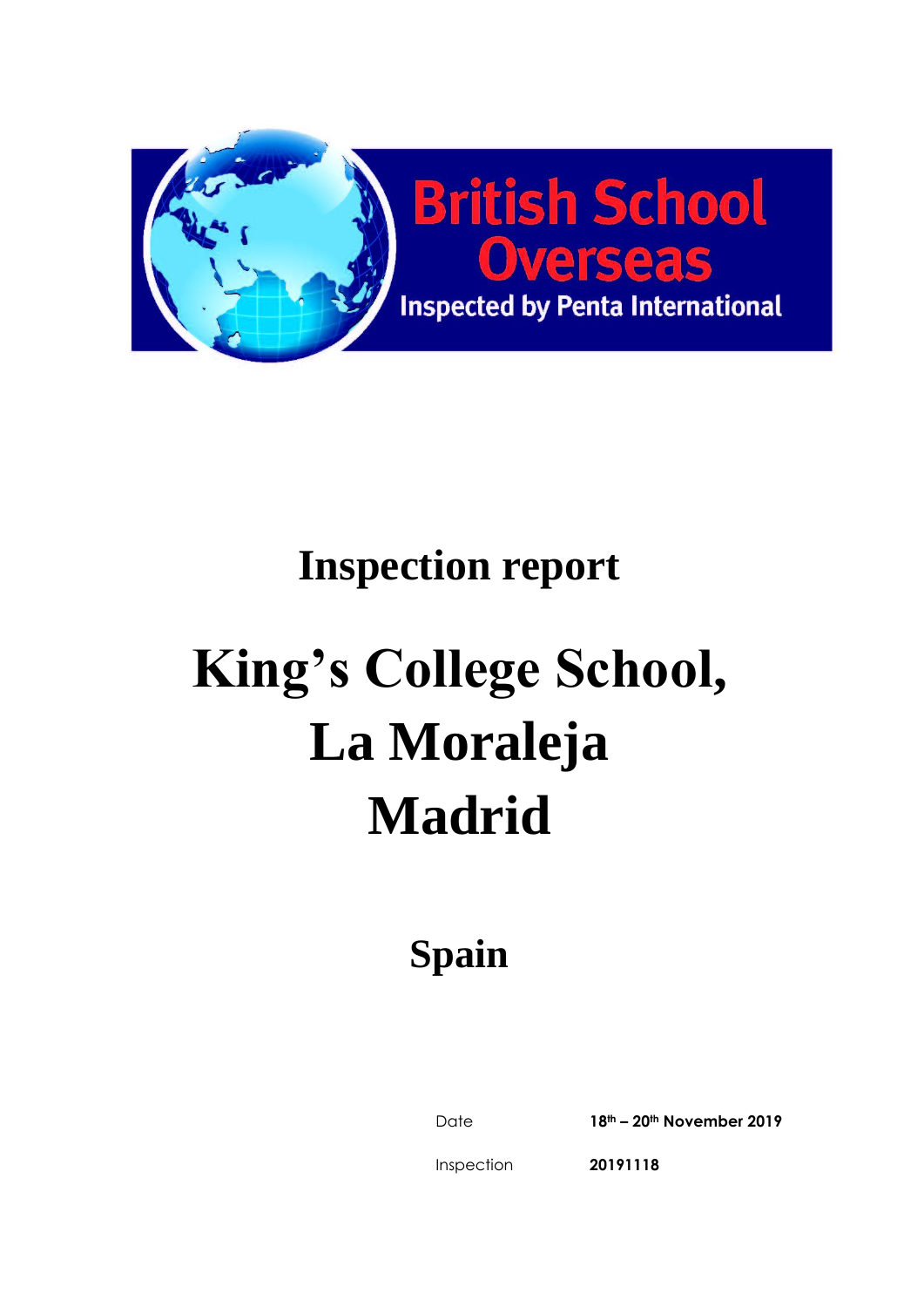

# **Inspection report**

# **King's College School, La Moraleja Madrid**

# **Spain**

Date **18th – 20th November 2019**

Inspection

**20191118**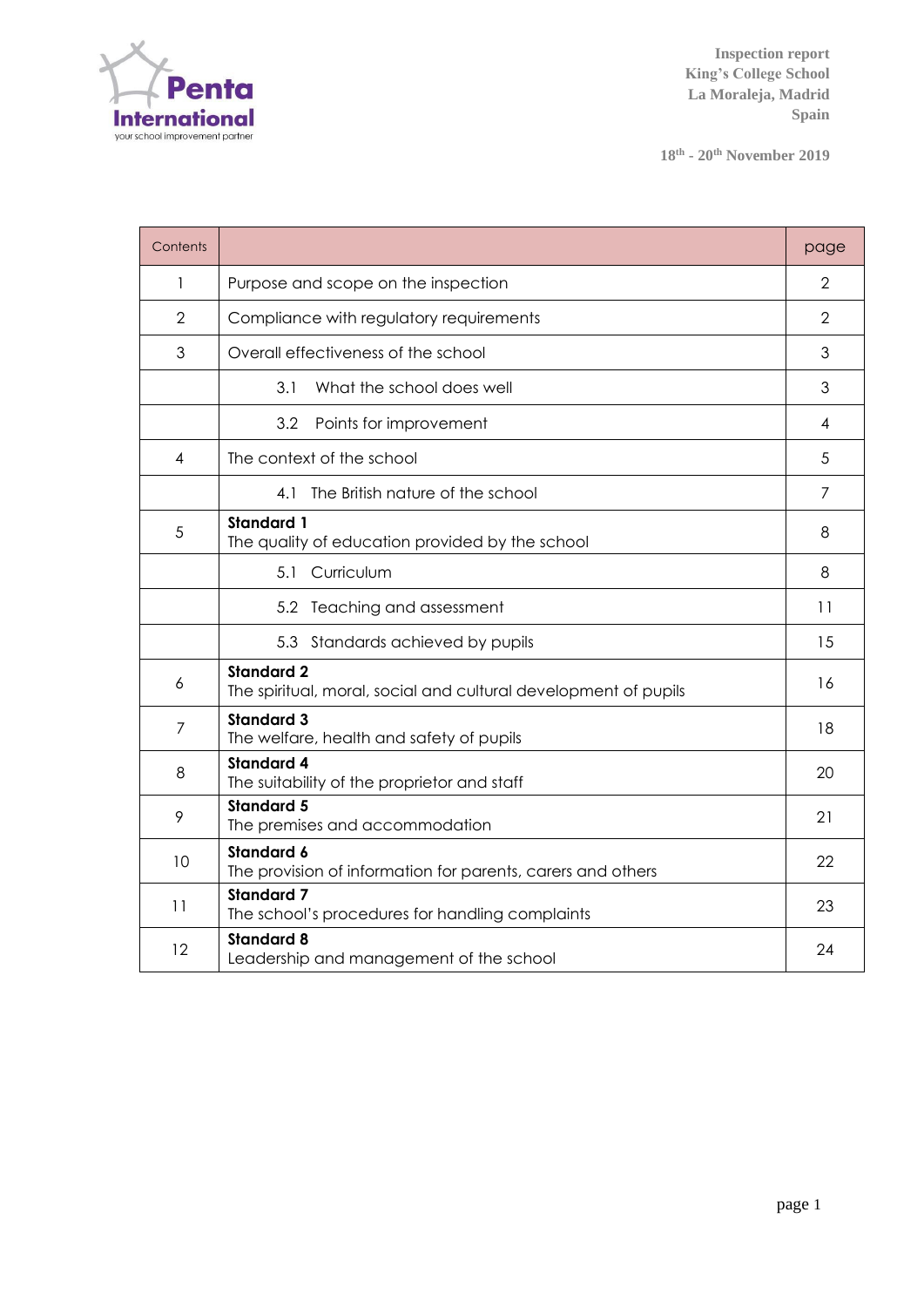

**18th - 20 th November 2019**

| Contents |                                                                                      | page           |
|----------|--------------------------------------------------------------------------------------|----------------|
| 1        | Purpose and scope on the inspection                                                  | 2              |
| 2        | Compliance with regulatory requirements                                              | $\overline{2}$ |
| 3        | Overall effectiveness of the school                                                  | 3              |
|          | 3.1<br>What the school does well                                                     | 3              |
|          | 3.2<br>Points for improvement                                                        | 4              |
| 4        | The context of the school                                                            | 5              |
|          | 4.1 The British nature of the school                                                 | 7              |
| 5        | <b>Standard 1</b><br>The quality of education provided by the school                 | 8              |
|          | Curriculum<br>5.1                                                                    | 8              |
|          | 5.2 Teaching and assessment                                                          | 11             |
|          | 5.3 Standards achieved by pupils                                                     | 15             |
| 6        | <b>Standard 2</b><br>The spiritual, moral, social and cultural development of pupils | 16             |
| 7        | <b>Standard 3</b><br>The welfare, health and safety of pupils                        | 18             |
| 8        | <b>Standard 4</b><br>The suitability of the proprietor and staff                     | 20             |
| 9        | <b>Standard 5</b><br>The premises and accommodation                                  | 21             |
| 10       | <b>Standard 6</b><br>The provision of information for parents, carers and others     | 22             |
| 11       | <b>Standard 7</b><br>The school's procedures for handling complaints                 | 23             |
| 12       | <b>Standard 8</b><br>Leadership and management of the school                         | 24             |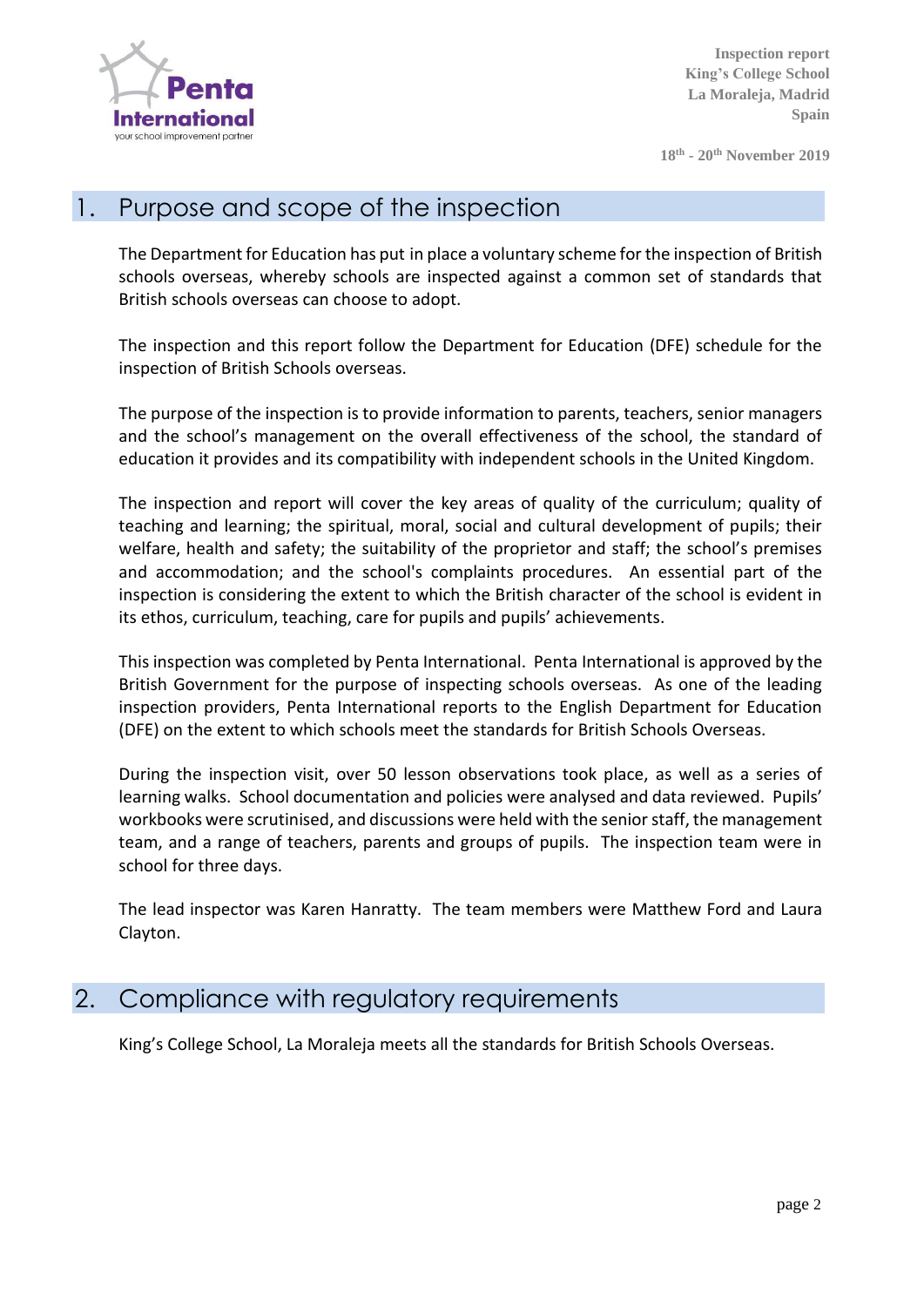

**18th - 20 th November 2019**

#### 1. Purpose and scope of the inspection

The Department for Education has put in place a voluntary scheme for the inspection of British schools overseas, whereby schools are inspected against a common set of standards that British schools overseas can choose to adopt.

The inspection and this report follow the Department for Education (DFE) schedule for the inspection of British Schools overseas.

The purpose of the inspection is to provide information to parents, teachers, senior managers and the school's management on the overall effectiveness of the school, the standard of education it provides and its compatibility with independent schools in the United Kingdom.

The inspection and report will cover the key areas of quality of the curriculum; quality of teaching and learning; the spiritual, moral, social and cultural development of pupils; their welfare, health and safety; the suitability of the proprietor and staff; the school's premises and accommodation; and the school's complaints procedures. An essential part of the inspection is considering the extent to which the British character of the school is evident in its ethos, curriculum, teaching, care for pupils and pupils' achievements.

This inspection was completed by Penta International. Penta International is approved by the British Government for the purpose of inspecting schools overseas. As one of the leading inspection providers, Penta International reports to the English Department for Education (DFE) on the extent to which schools meet the standards for British Schools Overseas.

During the inspection visit, over 50 lesson observations took place, as well as a series of learning walks. School documentation and policies were analysed and data reviewed. Pupils' workbooks were scrutinised, and discussions were held with the senior staff, the management team, and a range of teachers, parents and groups of pupils. The inspection team were in school for three days.

The lead inspector was Karen Hanratty. The team members were Matthew Ford and Laura Clayton.

#### 2. Compliance with regulatory requirements

King's College School, La Moraleja meets all the standards for British Schools Overseas.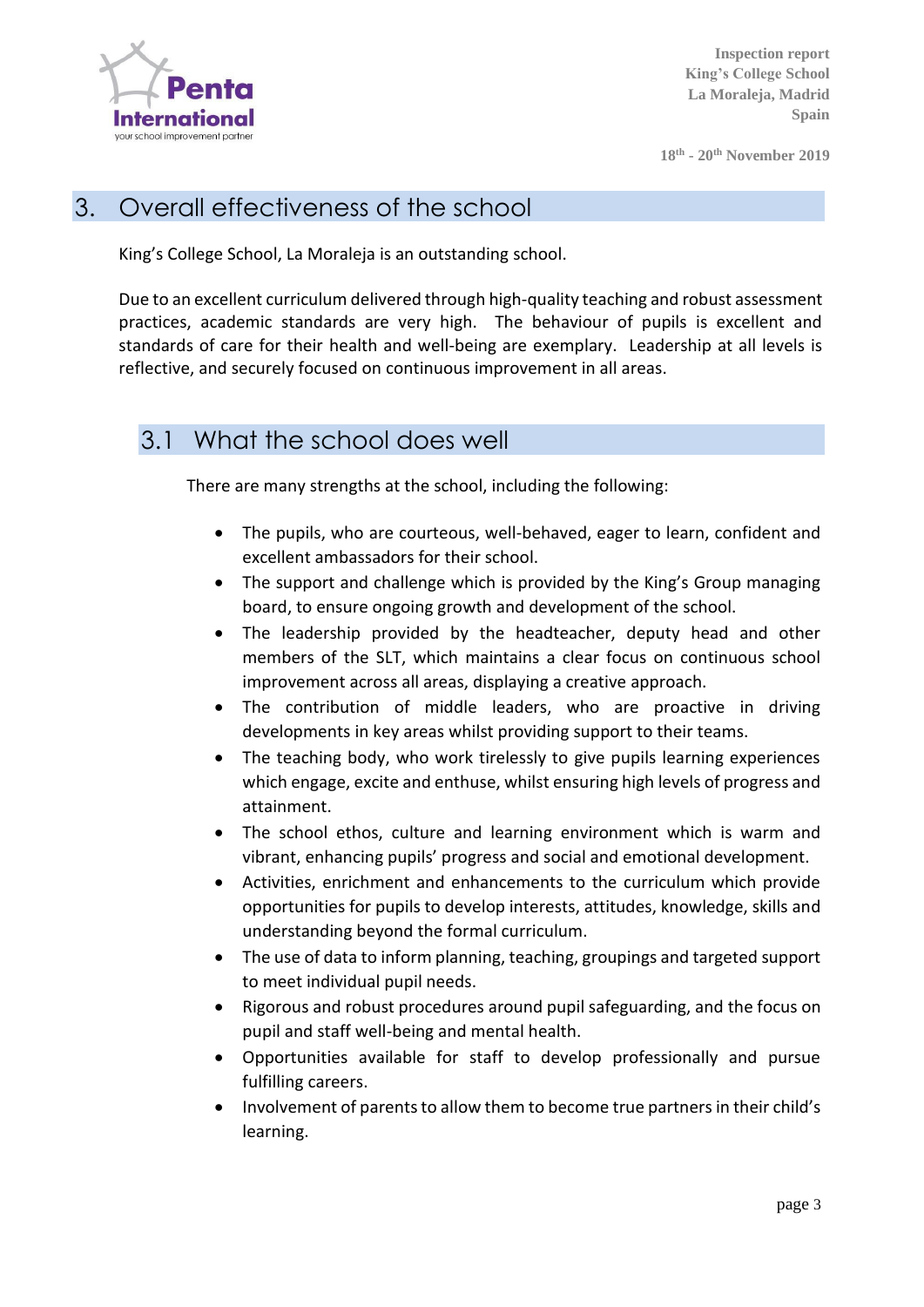

**18th - 20 th November 2019**

#### 3. Overall effectiveness of the school

King's College School, La Moraleja is an outstanding school.

Due to an excellent curriculum delivered through high-quality teaching and robust assessment practices, academic standards are very high. The behaviour of pupils is excellent and standards of care for their health and well-being are exemplary. Leadership at all levels is reflective, and securely focused on continuous improvement in all areas.

#### 3.1 What the school does well

There are many strengths at the school, including the following:

- The pupils, who are courteous, well-behaved, eager to learn, confident and excellent ambassadors for their school.
- The support and challenge which is provided by the King's Group managing board, to ensure ongoing growth and development of the school.
- The leadership provided by the headteacher, deputy head and other members of the SLT, which maintains a clear focus on continuous school improvement across all areas, displaying a creative approach.
- The contribution of middle leaders, who are proactive in driving developments in key areas whilst providing support to their teams.
- The teaching body, who work tirelessly to give pupils learning experiences which engage, excite and enthuse, whilst ensuring high levels of progress and attainment.
- The school ethos, culture and learning environment which is warm and vibrant, enhancing pupils' progress and social and emotional development.
- Activities, enrichment and enhancements to the curriculum which provide opportunities for pupils to develop interests, attitudes, knowledge, skills and understanding beyond the formal curriculum.
- The use of data to inform planning, teaching, groupings and targeted support to meet individual pupil needs.
- Rigorous and robust procedures around pupil safeguarding, and the focus on pupil and staff well-being and mental health.
- Opportunities available for staff to develop professionally and pursue fulfilling careers.
- Involvement of parents to allow them to become true partners in their child's learning.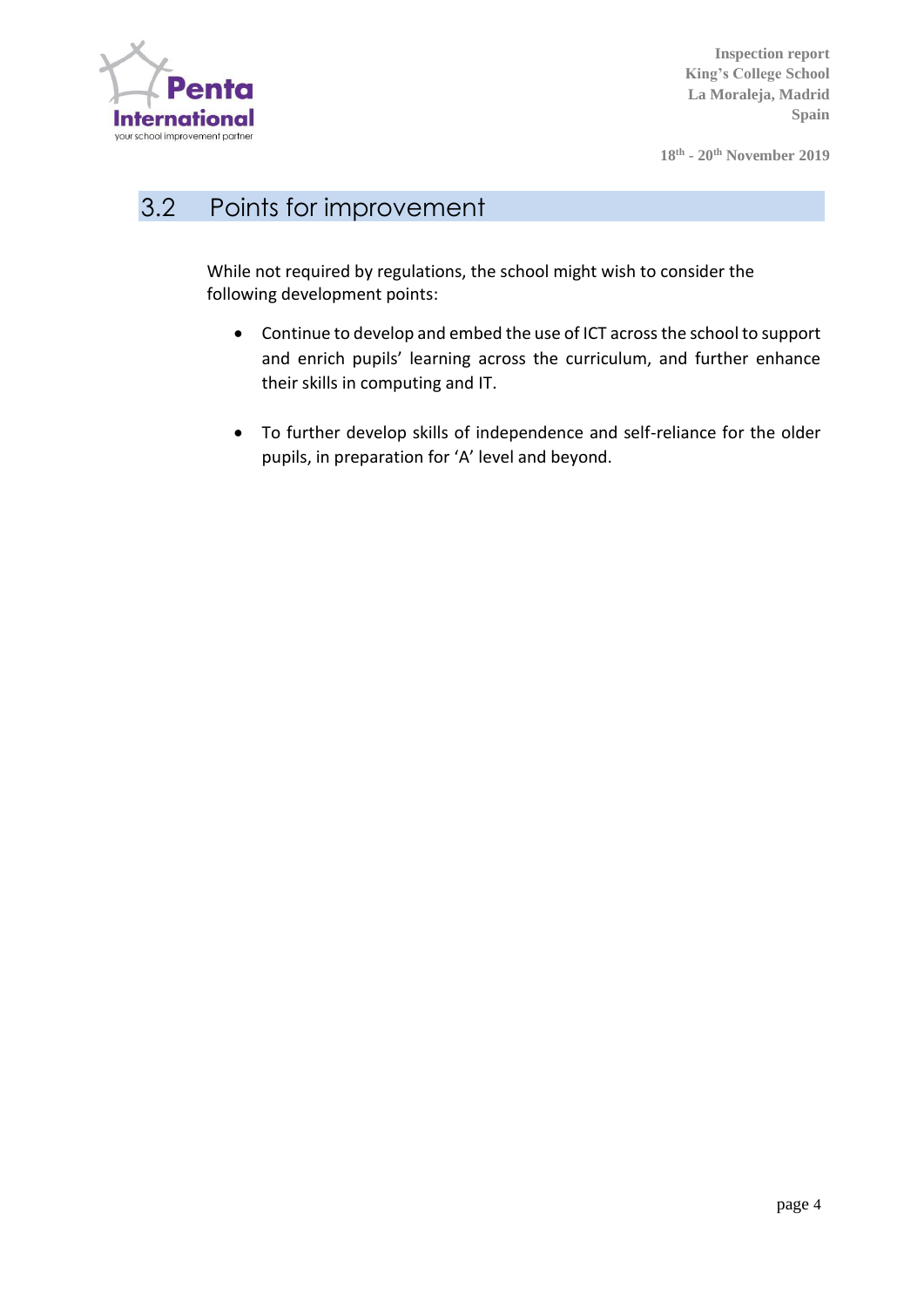

**18th - 20 th November 2019**

# 3.2 Points for improvement

While not required by regulations, the school might wish to consider the following development points:

- Continue to develop and embed the use of ICT across the school to support and enrich pupils' learning across the curriculum, and further enhance their skills in computing and IT.
- To further develop skills of independence and self-reliance for the older pupils, in preparation for 'A' level and beyond.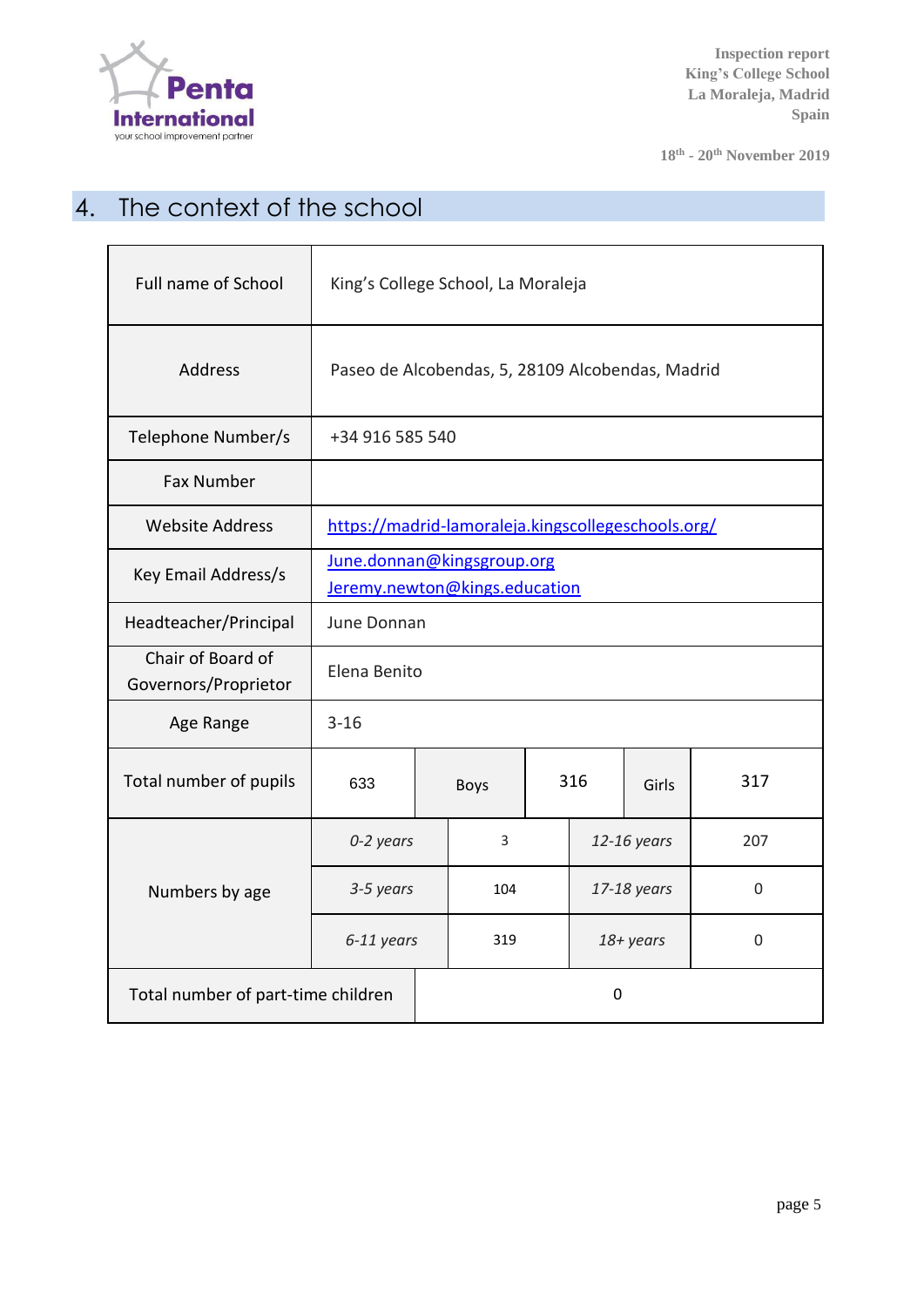

**18th - 20 th November 2019**

# 4. The context of the school

| Full name of School                       | King's College School, La Moraleja                          |  |             |     |             |           |             |
|-------------------------------------------|-------------------------------------------------------------|--|-------------|-----|-------------|-----------|-------------|
| <b>Address</b>                            | Paseo de Alcobendas, 5, 28109 Alcobendas, Madrid            |  |             |     |             |           |             |
| Telephone Number/s                        | +34 916 585 540                                             |  |             |     |             |           |             |
| <b>Fax Number</b>                         |                                                             |  |             |     |             |           |             |
| <b>Website Address</b>                    | https://madrid-lamoraleja.kingscollegeschools.org/          |  |             |     |             |           |             |
| Key Email Address/s                       | June.donnan@kingsgroup.org<br>Jeremy.newton@kings.education |  |             |     |             |           |             |
| Headteacher/Principal                     | June Donnan                                                 |  |             |     |             |           |             |
| Chair of Board of<br>Governors/Proprietor | Elena Benito                                                |  |             |     |             |           |             |
| Age Range                                 | $3 - 16$                                                    |  |             |     |             |           |             |
| Total number of pupils                    | 633                                                         |  | <b>Boys</b> | 316 |             | Girls     | 317         |
|                                           | 0-2 years                                                   |  | 3           |     | 12-16 years |           | 207         |
| Numbers by age                            | 3-5 years                                                   |  | 104         |     | 17-18 years |           | $\mathbf 0$ |
|                                           | 6-11 years                                                  |  | 319         |     |             | 18+ years | 0           |
| Total number of part-time children        |                                                             |  | 0           |     |             |           |             |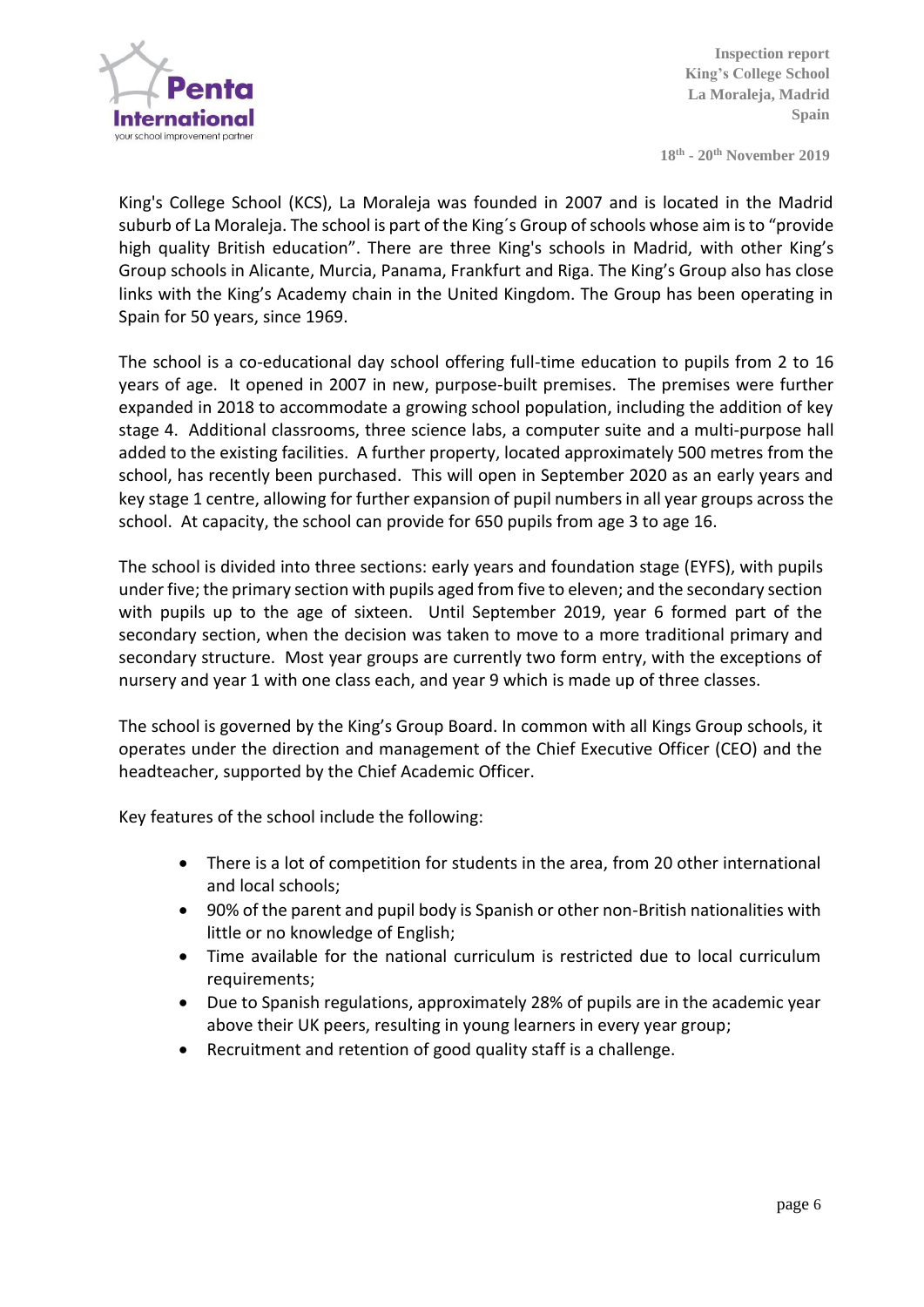

**18th - 20 th November 2019**

King's College School (KCS), La Moraleja was founded in 2007 and is located in the Madrid suburb of La Moraleja. The school is part of the King´s Group of schools whose aim is to "provide high quality British education". There are three King's schools in Madrid, with other King's Group schools in Alicante, Murcia, Panama, Frankfurt and Riga. The King's Group also has close links with the King's Academy chain in the United Kingdom. The Group has been operating in Spain for 50 years, since 1969.

The school is a co-educational day school offering full-time education to pupils from 2 to 16 years of age. It opened in 2007 in new, purpose-built premises. The premises were further expanded in 2018 to accommodate a growing school population, including the addition of key stage 4. Additional classrooms, three science labs, a computer suite and a multi-purpose hall added to the existing facilities. A further property, located approximately 500 metres from the school, has recently been purchased. This will open in September 2020 as an early years and key stage 1 centre, allowing for further expansion of pupil numbers in all year groups across the school. At capacity, the school can provide for 650 pupils from age 3 to age 16.

The school is divided into three sections: early years and foundation stage (EYFS), with pupils under five; the primary section with pupils aged from five to eleven; and the secondary section with pupils up to the age of sixteen. Until September 2019, year 6 formed part of the secondary section, when the decision was taken to move to a more traditional primary and secondary structure. Most year groups are currently two form entry, with the exceptions of nursery and year 1 with one class each, and year 9 which is made up of three classes.

The school is governed by the King's Group Board. In common with all Kings Group schools, it operates under the direction and management of the Chief Executive Officer (CEO) and the headteacher, supported by the Chief Academic Officer.

Key features of the school include the following:

- There is a lot of competition for students in the area, from 20 other international and local schools;
- 90% of the parent and pupil body is Spanish or other non-British nationalities with little or no knowledge of English;
- Time available for the national curriculum is restricted due to local curriculum requirements;
- Due to Spanish regulations, approximately 28% of pupils are in the academic year above their UK peers, resulting in young learners in every year group;
- Recruitment and retention of good quality staff is a challenge.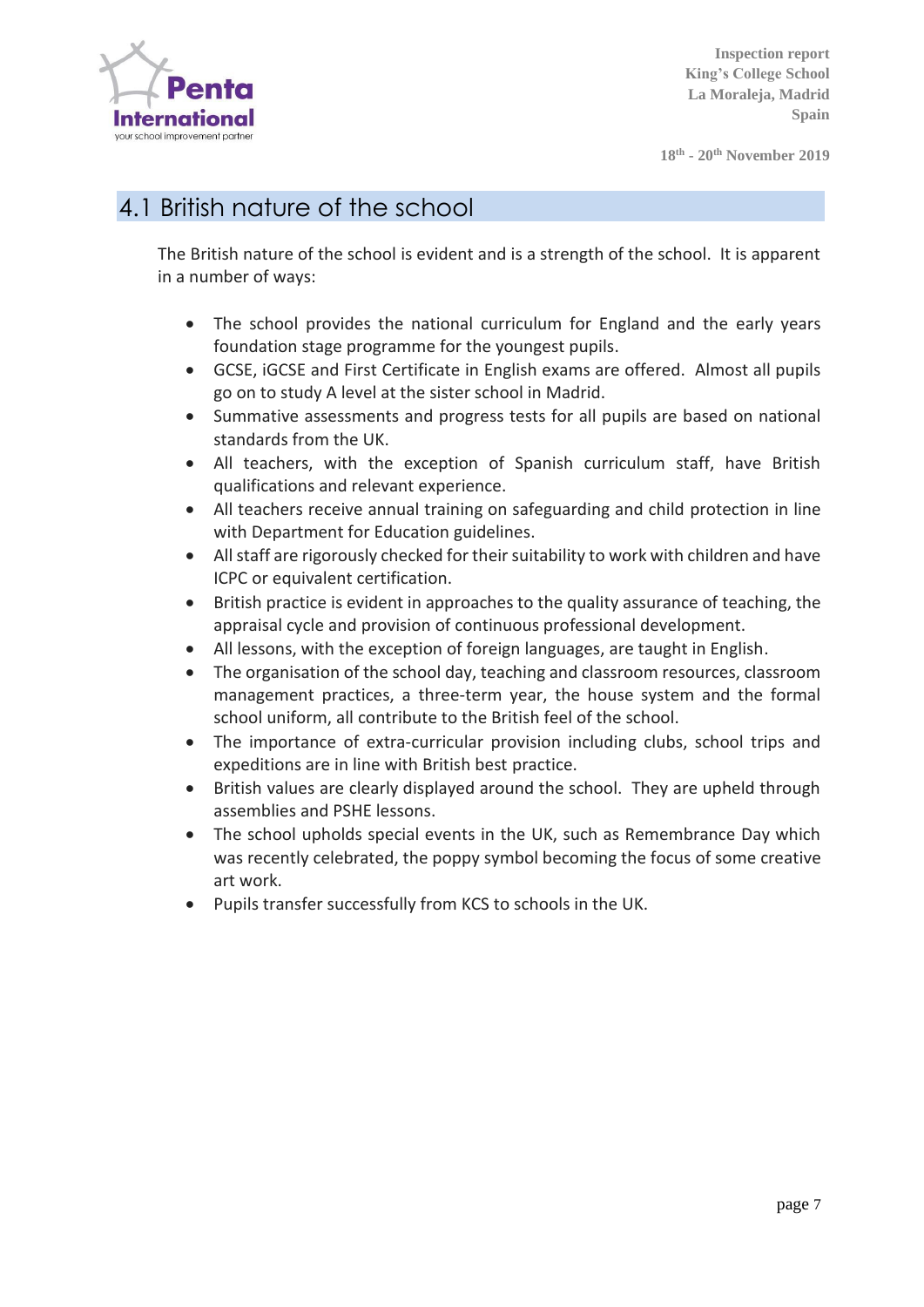

**18th - 20 th November 2019**

# 4.1 British nature of the school

The British nature of the school is evident and is a strength of the school. It is apparent in a number of ways:

- The school provides the national curriculum for England and the early years foundation stage programme for the youngest pupils.
- GCSE, iGCSE and First Certificate in English exams are offered. Almost all pupils go on to study A level at the sister school in Madrid.
- Summative assessments and progress tests for all pupils are based on national standards from the UK.
- All teachers, with the exception of Spanish curriculum staff, have British qualifications and relevant experience.
- All teachers receive annual training on safeguarding and child protection in line with Department for Education guidelines.
- All staff are rigorously checked for their suitability to work with children and have ICPC or equivalent certification.
- British practice is evident in approaches to the quality assurance of teaching, the appraisal cycle and provision of continuous professional development.
- All lessons, with the exception of foreign languages, are taught in English.
- The organisation of the school day, teaching and classroom resources, classroom management practices, a three-term year, the house system and the formal school uniform, all contribute to the British feel of the school.
- The importance of extra-curricular provision including clubs, school trips and expeditions are in line with British best practice.
- British values are clearly displayed around the school. They are upheld through assemblies and PSHE lessons.
- The school upholds special events in the UK, such as Remembrance Day which was recently celebrated, the poppy symbol becoming the focus of some creative art work.
- Pupils transfer successfully from KCS to schools in the UK.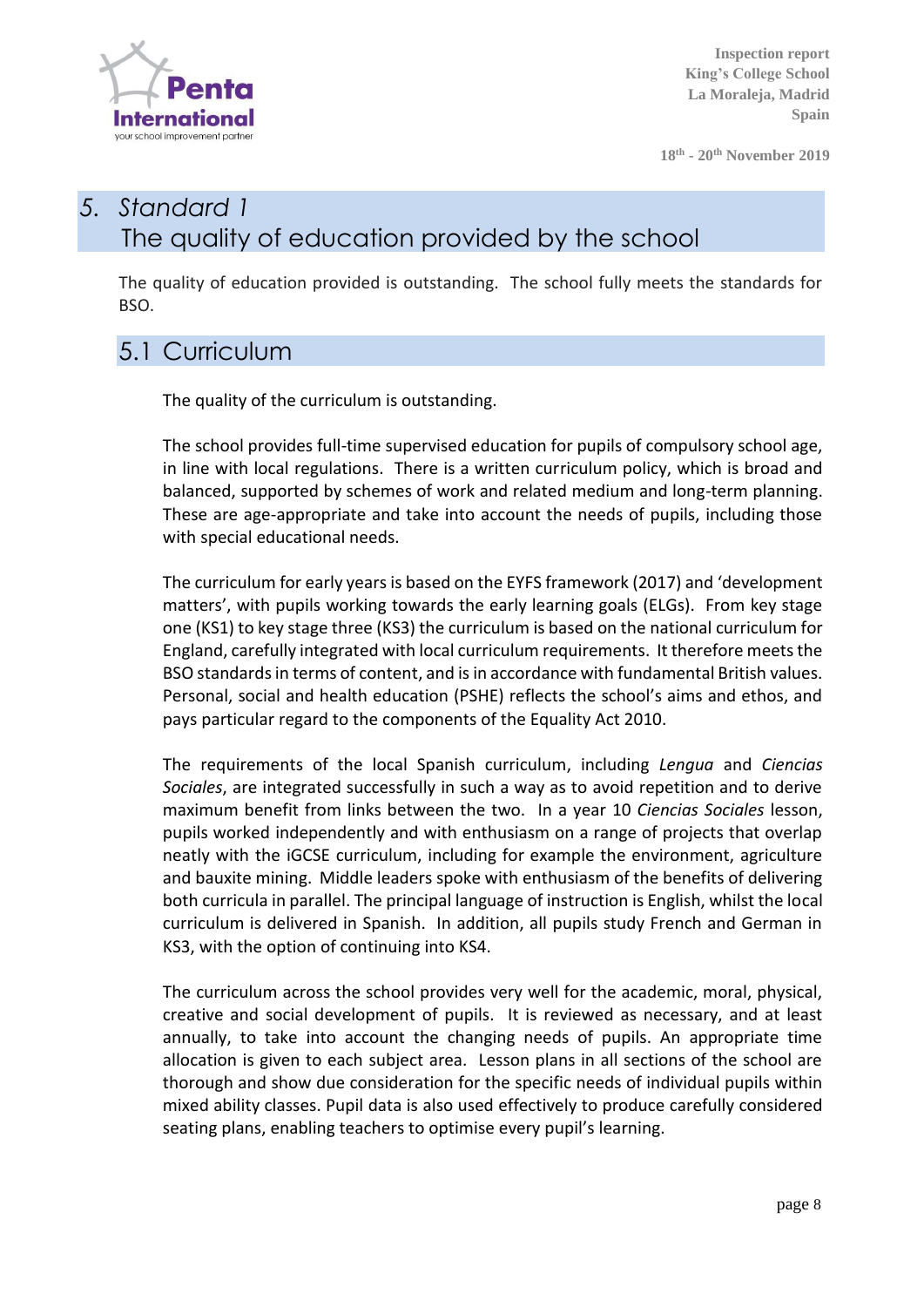

**18th - 20 th November 2019**

# *5. Standard 1* The quality of education provided by the school

The quality of education provided is outstanding. The school fully meets the standards for BSO.

#### 5.1 Curriculum

The quality of the curriculum is outstanding.

The school provides full-time supervised education for pupils of compulsory school age, in line with local regulations. There is a written curriculum policy, which is broad and balanced, supported by schemes of work and related medium and long-term planning. These are age-appropriate and take into account the needs of pupils, including those with special educational needs.

The curriculum for early years is based on the EYFS framework (2017) and 'development matters', with pupils working towards the early learning goals (ELGs). From key stage one (KS1) to key stage three (KS3) the curriculum is based on the national curriculum for England, carefully integrated with local curriculum requirements. It therefore meets the BSO standards in terms of content, and is in accordance with fundamental British values. Personal, social and health education (PSHE) reflects the school's aims and ethos, and pays particular regard to the components of the Equality Act 2010.

The requirements of the local Spanish curriculum, including *Lengua* and *Ciencias Sociales*, are integrated successfully in such a way as to avoid repetition and to derive maximum benefit from links between the two. In a year 10 *Ciencias Sociales* lesson, pupils worked independently and with enthusiasm on a range of projects that overlap neatly with the iGCSE curriculum, including for example the environment, agriculture and bauxite mining. Middle leaders spoke with enthusiasm of the benefits of delivering both curricula in parallel. The principal language of instruction is English, whilst the local curriculum is delivered in Spanish. In addition, all pupils study French and German in KS3, with the option of continuing into KS4.

The curriculum across the school provides very well for the academic, moral, physical, creative and social development of pupils. It is reviewed as necessary, and at least annually, to take into account the changing needs of pupils. An appropriate time allocation is given to each subject area. Lesson plans in all sections of the school are thorough and show due consideration for the specific needs of individual pupils within mixed ability classes. Pupil data is also used effectively to produce carefully considered seating plans, enabling teachers to optimise every pupil's learning.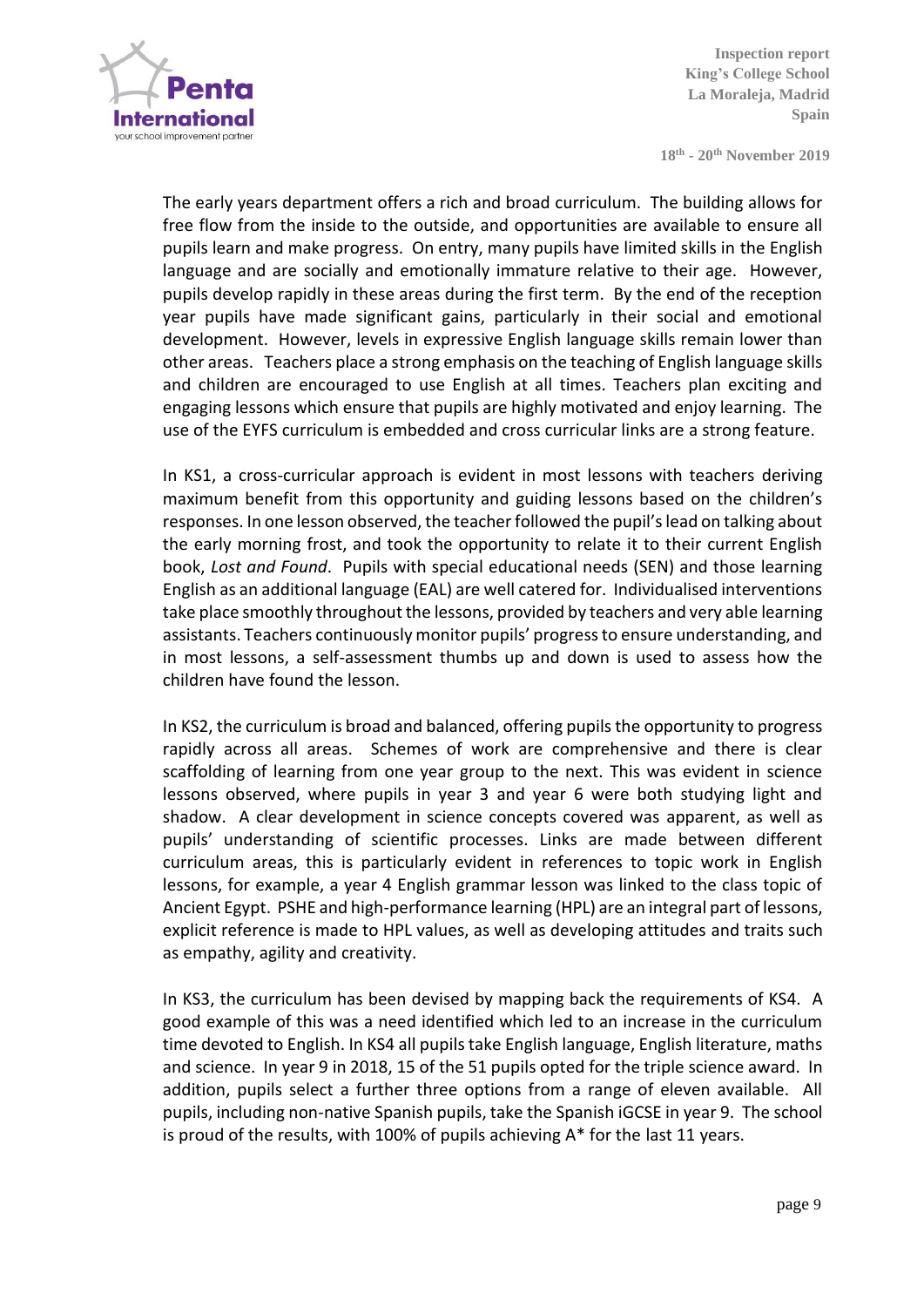

**18th - 20 th November 2019**

The early years department offers a rich and broad curriculum. The building allows for free flow from the inside to the outside, and opportunities are available to ensure all pupils learn and make progress. On entry, many pupils have limited skills in the English language and are socially and emotionally immature relative to their age. However, pupils develop rapidly in these areas during the first term. By the end of the reception year pupils have made significant gains, particularly in their social and emotional development. However, levels in expressive English language skills remain lower than other areas. Teachers place a strong emphasis on the teaching of English language skills and children are encouraged to use English at all times. Teachers plan exciting and engaging lessons which ensure that pupils are highly motivated and enjoy learning. The use of the EYFS curriculum is embedded and cross curricular links are a strong feature.

In KS1, a cross-curricular approach is evident in most lessons with teachers deriving maximum benefit from this opportunity and guiding lessons based on the children's responses. In one lesson observed, the teacher followed the pupil's lead on talking about the early morning frost, and took the opportunity to relate it to their current English book, *Lost and Found*. Pupils with special educational needs (SEN) and those learning English as an additional language (EAL) are well catered for. Individualised interventions take place smoothly throughout the lessons, provided by teachers and very able learning assistants. Teachers continuously monitor pupils' progress to ensure understanding, and in most lessons, a self-assessment thumbs up and down is used to assess how the children have found the lesson.

In KS2, the curriculum is broad and balanced, offering pupils the opportunity to progress rapidly across all areas. Schemes of work are comprehensive and there is clear scaffolding of learning from one year group to the next. This was evident in science lessons observed, where pupils in year 3 and year 6 were both studying light and shadow. A clear development in science concepts covered was apparent, as well as pupils' understanding of scientific processes. Links are made between different curriculum areas, this is particularly evident in references to topic work in English lessons, for example, a year 4 English grammar lesson was linked to the class topic of Ancient Egypt. PSHE and high-performance learning (HPL) are an integral part of lessons, explicit reference is made to HPL values, as well as developing attitudes and traits such as empathy, agility and creativity.

In KS3, the curriculum has been devised by mapping back the requirements of KS4. A good example of this was a need identified which led to an increase in the curriculum time devoted to English. In KS4 all pupils take English language, English literature, maths and science. In year 9 in 2018, 15 of the 51 pupils opted for the triple science award. In addition, pupils select a further three options from a range of eleven available. All pupils, including non-native Spanish pupils, take the Spanish iGCSE in year 9. The school is proud of the results, with 100% of pupils achieving A\* for the last 11 years.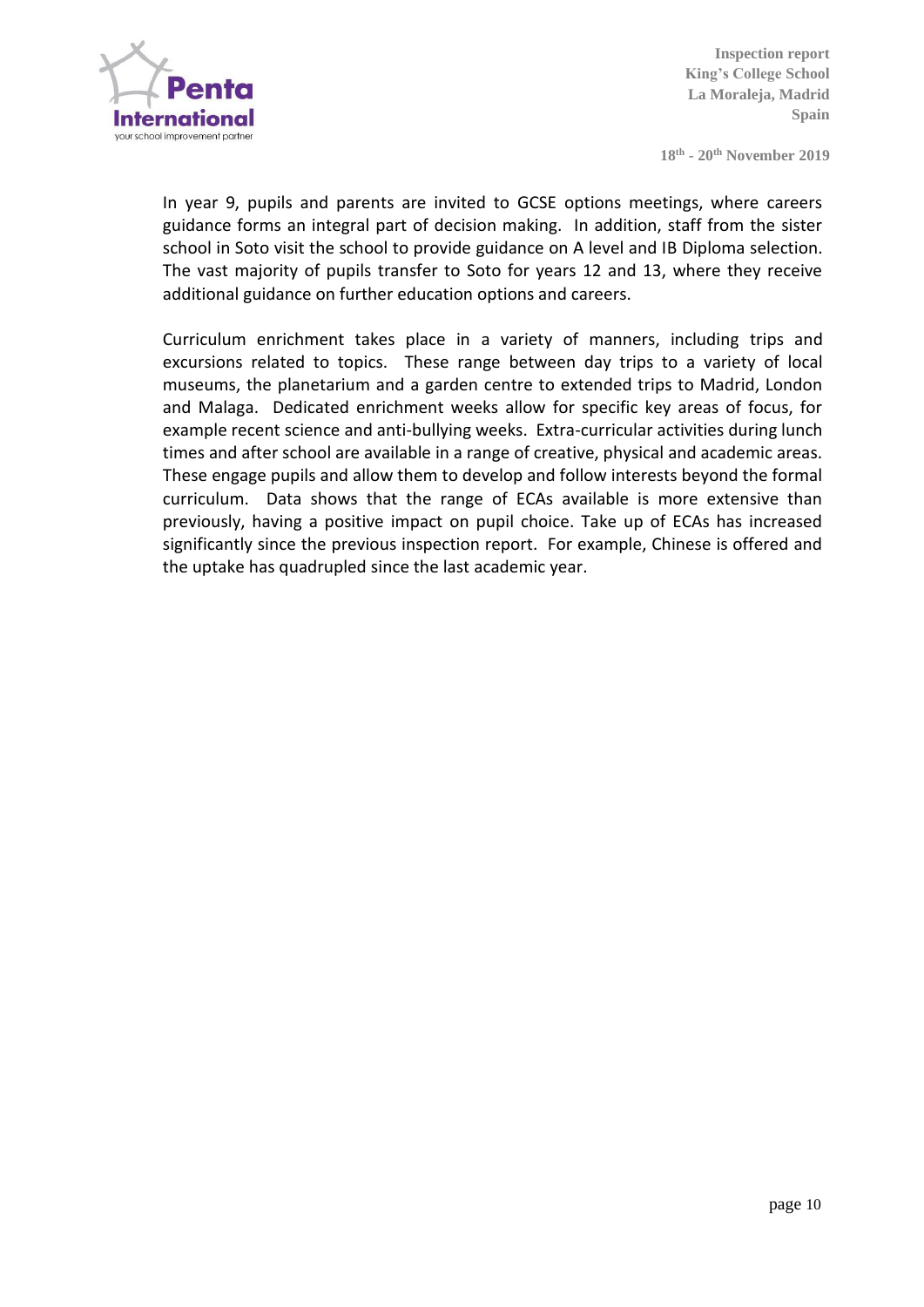

**18th - 20 th November 2019**

In year 9, pupils and parents are invited to GCSE options meetings, where careers guidance forms an integral part of decision making. In addition, staff from the sister school in Soto visit the school to provide guidance on A level and IB Diploma selection. The vast majority of pupils transfer to Soto for years 12 and 13, where they receive additional guidance on further education options and careers.

Curriculum enrichment takes place in a variety of manners, including trips and excursions related to topics. These range between day trips to a variety of local museums, the planetarium and a garden centre to extended trips to Madrid, London and Malaga. Dedicated enrichment weeks allow for specific key areas of focus, for example recent science and anti-bullying weeks. Extra-curricular activities during lunch times and after school are available in a range of creative, physical and academic areas. These engage pupils and allow them to develop and follow interests beyond the formal curriculum. Data shows that the range of ECAs available is more extensive than previously, having a positive impact on pupil choice. Take up of ECAs has increased significantly since the previous inspection report. For example, Chinese is offered and the uptake has quadrupled since the last academic year.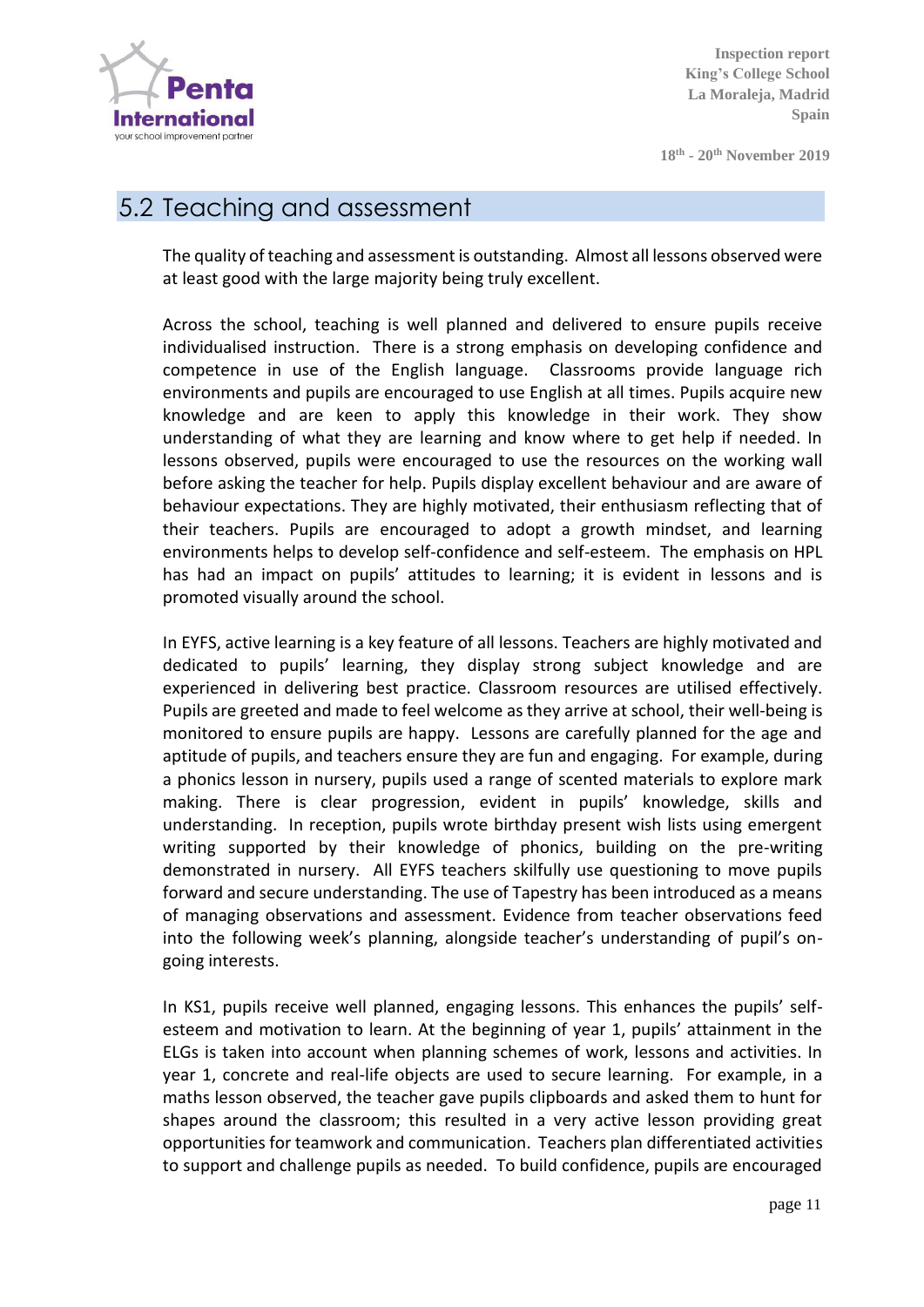

**18th - 20 th November 2019**

#### 5.2 Teaching and assessment

The quality of teaching and assessment is outstanding. Almost all lessons observed were at least good with the large majority being truly excellent.

Across the school, teaching is well planned and delivered to ensure pupils receive individualised instruction. There is a strong emphasis on developing confidence and competence in use of the English language. Classrooms provide language rich environments and pupils are encouraged to use English at all times. Pupils acquire new knowledge and are keen to apply this knowledge in their work. They show understanding of what they are learning and know where to get help if needed. In lessons observed, pupils were encouraged to use the resources on the working wall before asking the teacher for help. Pupils display excellent behaviour and are aware of behaviour expectations. They are highly motivated, their enthusiasm reflecting that of their teachers. Pupils are encouraged to adopt a growth mindset, and learning environments helps to develop self-confidence and self-esteem. The emphasis on HPL has had an impact on pupils' attitudes to learning; it is evident in lessons and is promoted visually around the school.

In EYFS, active learning is a key feature of all lessons. Teachers are highly motivated and dedicated to pupils' learning, they display strong subject knowledge and are experienced in delivering best practice. Classroom resources are utilised effectively. Pupils are greeted and made to feel welcome as they arrive at school, their well-being is monitored to ensure pupils are happy. Lessons are carefully planned for the age and aptitude of pupils, and teachers ensure they are fun and engaging. For example, during a phonics lesson in nursery, pupils used a range of scented materials to explore mark making. There is clear progression, evident in pupils' knowledge, skills and understanding. In reception, pupils wrote birthday present wish lists using emergent writing supported by their knowledge of phonics, building on the pre-writing demonstrated in nursery. All EYFS teachers skilfully use questioning to move pupils forward and secure understanding. The use of Tapestry has been introduced as a means of managing observations and assessment. Evidence from teacher observations feed into the following week's planning, alongside teacher's understanding of pupil's ongoing interests.

In KS1, pupils receive well planned, engaging lessons. This enhances the pupils' selfesteem and motivation to learn. At the beginning of year 1, pupils' attainment in the ELGs is taken into account when planning schemes of work, lessons and activities. In year 1, concrete and real-life objects are used to secure learning. For example, in a maths lesson observed, the teacher gave pupils clipboards and asked them to hunt for shapes around the classroom; this resulted in a very active lesson providing great opportunities for teamwork and communication. Teachers plan differentiated activities to support and challenge pupils as needed. To build confidence, pupils are encouraged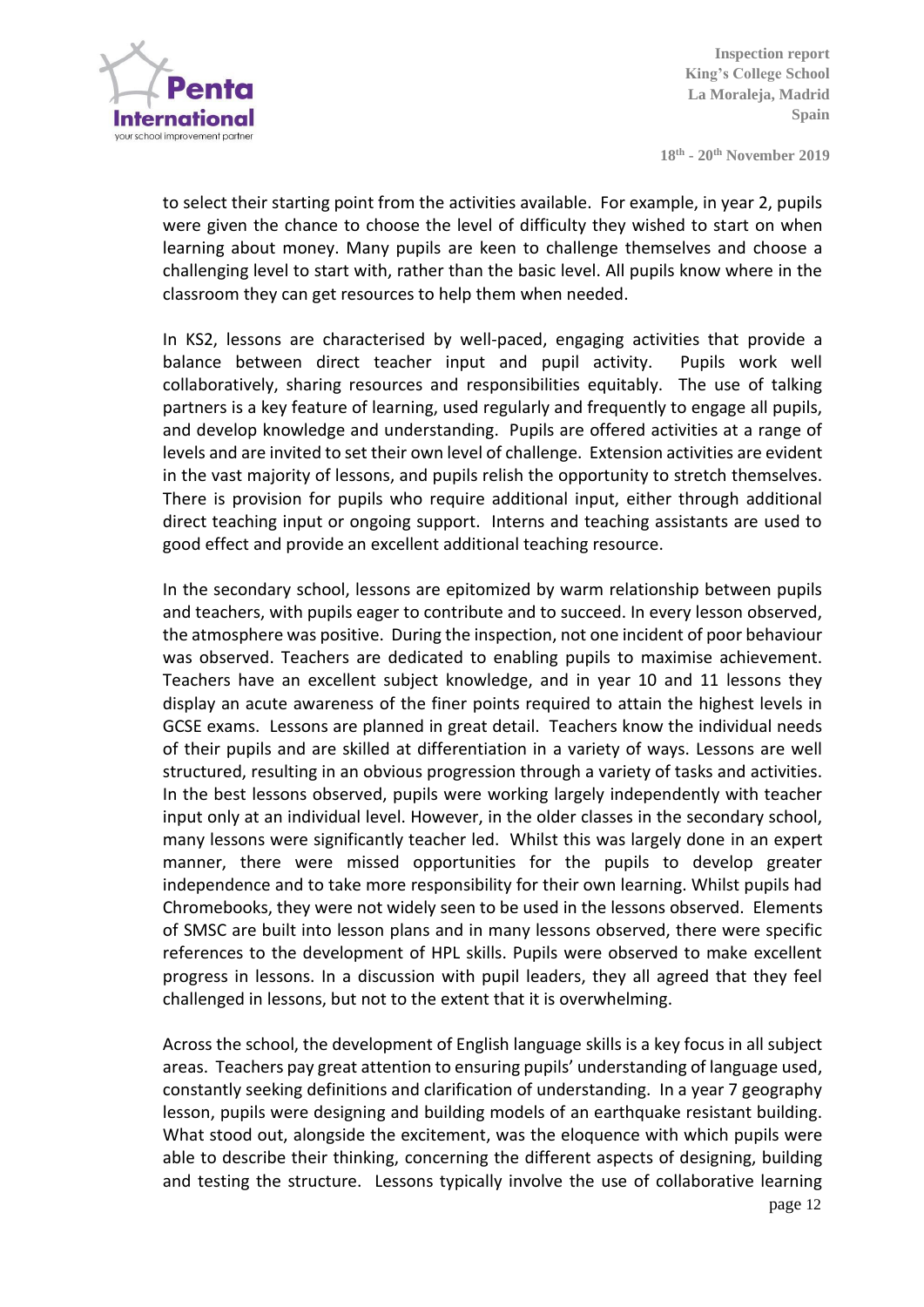

**18th - 20 th November 2019**

to select their starting point from the activities available. For example, in year 2, pupils were given the chance to choose the level of difficulty they wished to start on when learning about money. Many pupils are keen to challenge themselves and choose a challenging level to start with, rather than the basic level. All pupils know where in the classroom they can get resources to help them when needed.

In KS2, lessons are characterised by well-paced, engaging activities that provide a balance between direct teacher input and pupil activity. Pupils work well collaboratively, sharing resources and responsibilities equitably. The use of talking partners is a key feature of learning, used regularly and frequently to engage all pupils, and develop knowledge and understanding. Pupils are offered activities at a range of levels and are invited to set their own level of challenge. Extension activities are evident in the vast majority of lessons, and pupils relish the opportunity to stretch themselves. There is provision for pupils who require additional input, either through additional direct teaching input or ongoing support. Interns and teaching assistants are used to good effect and provide an excellent additional teaching resource.

In the secondary school, lessons are epitomized by warm relationship between pupils and teachers, with pupils eager to contribute and to succeed. In every lesson observed, the atmosphere was positive. During the inspection, not one incident of poor behaviour was observed. Teachers are dedicated to enabling pupils to maximise achievement. Teachers have an excellent subject knowledge, and in year 10 and 11 lessons they display an acute awareness of the finer points required to attain the highest levels in GCSE exams. Lessons are planned in great detail. Teachers know the individual needs of their pupils and are skilled at differentiation in a variety of ways. Lessons are well structured, resulting in an obvious progression through a variety of tasks and activities. In the best lessons observed, pupils were working largely independently with teacher input only at an individual level. However, in the older classes in the secondary school, many lessons were significantly teacher led. Whilst this was largely done in an expert manner, there were missed opportunities for the pupils to develop greater independence and to take more responsibility for their own learning. Whilst pupils had Chromebooks, they were not widely seen to be used in the lessons observed. Elements of SMSC are built into lesson plans and in many lessons observed, there were specific references to the development of HPL skills. Pupils were observed to make excellent progress in lessons. In a discussion with pupil leaders, they all agreed that they feel challenged in lessons, but not to the extent that it is overwhelming.

Across the school, the development of English language skills is a key focus in all subject areas. Teachers pay great attention to ensuring pupils' understanding of language used, constantly seeking definitions and clarification of understanding. In a year 7 geography lesson, pupils were designing and building models of an earthquake resistant building. What stood out, alongside the excitement, was the eloquence with which pupils were able to describe their thinking, concerning the different aspects of designing, building and testing the structure. Lessons typically involve the use of collaborative learning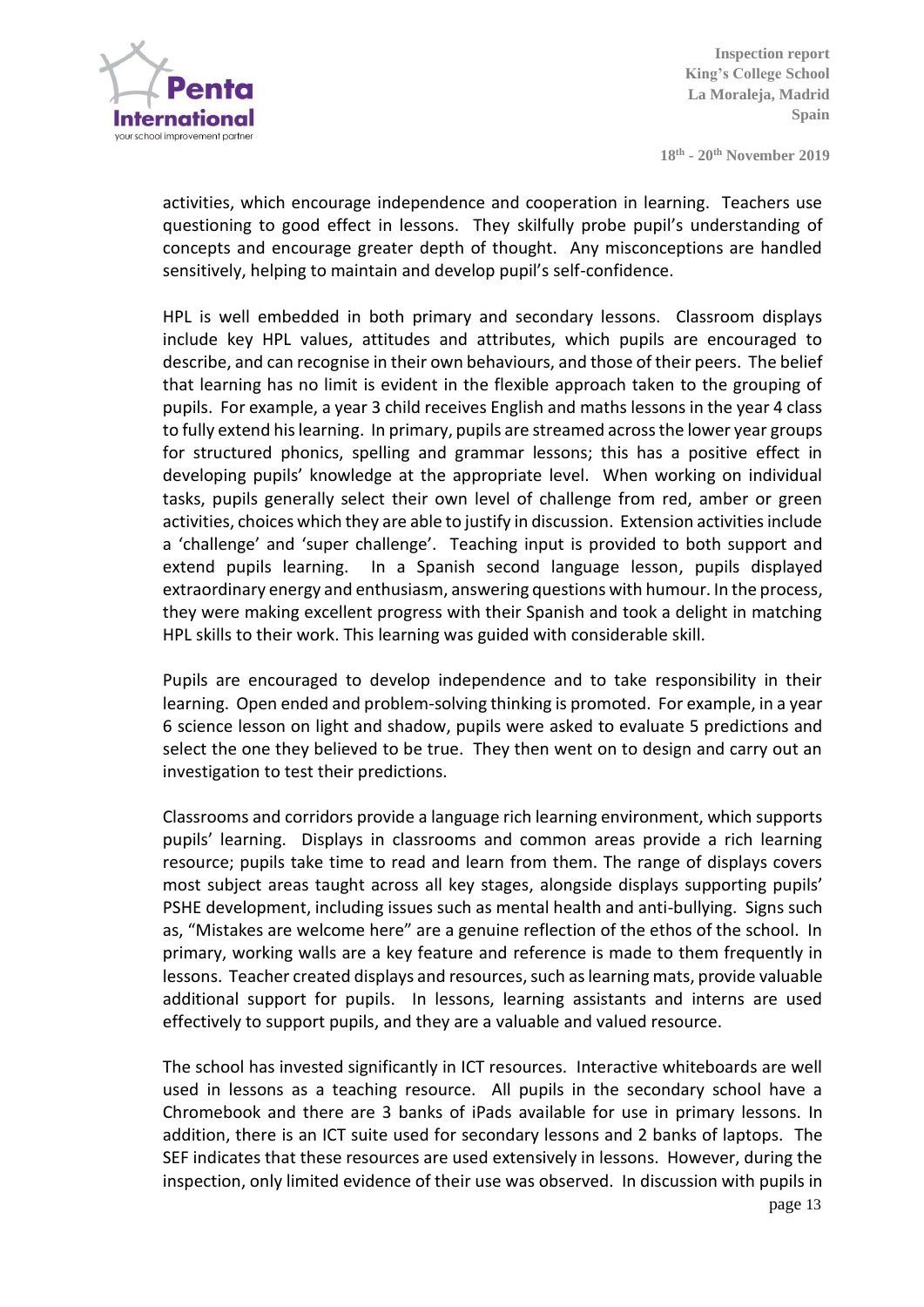

**18th - 20 th November 2019**

activities, which encourage independence and cooperation in learning. Teachers use questioning to good effect in lessons. They skilfully probe pupil's understanding of concepts and encourage greater depth of thought. Any misconceptions are handled sensitively, helping to maintain and develop pupil's self-confidence.

HPL is well embedded in both primary and secondary lessons. Classroom displays include key HPL values, attitudes and attributes, which pupils are encouraged to describe, and can recognise in their own behaviours, and those of their peers. The belief that learning has no limit is evident in the flexible approach taken to the grouping of pupils. For example, a year 3 child receives English and maths lessons in the year 4 class to fully extend his learning. In primary, pupils are streamed across the lower year groups for structured phonics, spelling and grammar lessons; this has a positive effect in developing pupils' knowledge at the appropriate level. When working on individual tasks, pupils generally select their own level of challenge from red, amber or green activities, choices which they are able to justify in discussion. Extension activities include a 'challenge' and 'super challenge'. Teaching input is provided to both support and extend pupils learning. In a Spanish second language lesson, pupils displayed extraordinary energy and enthusiasm, answering questions with humour. In the process, they were making excellent progress with their Spanish and took a delight in matching HPL skills to their work. This learning was guided with considerable skill.

Pupils are encouraged to develop independence and to take responsibility in their learning. Open ended and problem-solving thinking is promoted. For example, in a year 6 science lesson on light and shadow, pupils were asked to evaluate 5 predictions and select the one they believed to be true. They then went on to design and carry out an investigation to test their predictions.

Classrooms and corridors provide a language rich learning environment, which supports pupils' learning. Displays in classrooms and common areas provide a rich learning resource; pupils take time to read and learn from them. The range of displays covers most subject areas taught across all key stages, alongside displays supporting pupils' PSHE development, including issues such as mental health and anti-bullying. Signs such as, "Mistakes are welcome here" are a genuine reflection of the ethos of the school. In primary, working walls are a key feature and reference is made to them frequently in lessons. Teacher created displays and resources, such as learning mats, provide valuable additional support for pupils. In lessons, learning assistants and interns are used effectively to support pupils, and they are a valuable and valued resource.

The school has invested significantly in ICT resources. Interactive whiteboards are well used in lessons as a teaching resource. All pupils in the secondary school have a Chromebook and there are 3 banks of iPads available for use in primary lessons. In addition, there is an ICT suite used for secondary lessons and 2 banks of laptops. The SEF indicates that these resources are used extensively in lessons. However, during the inspection, only limited evidence of their use was observed. In discussion with pupils in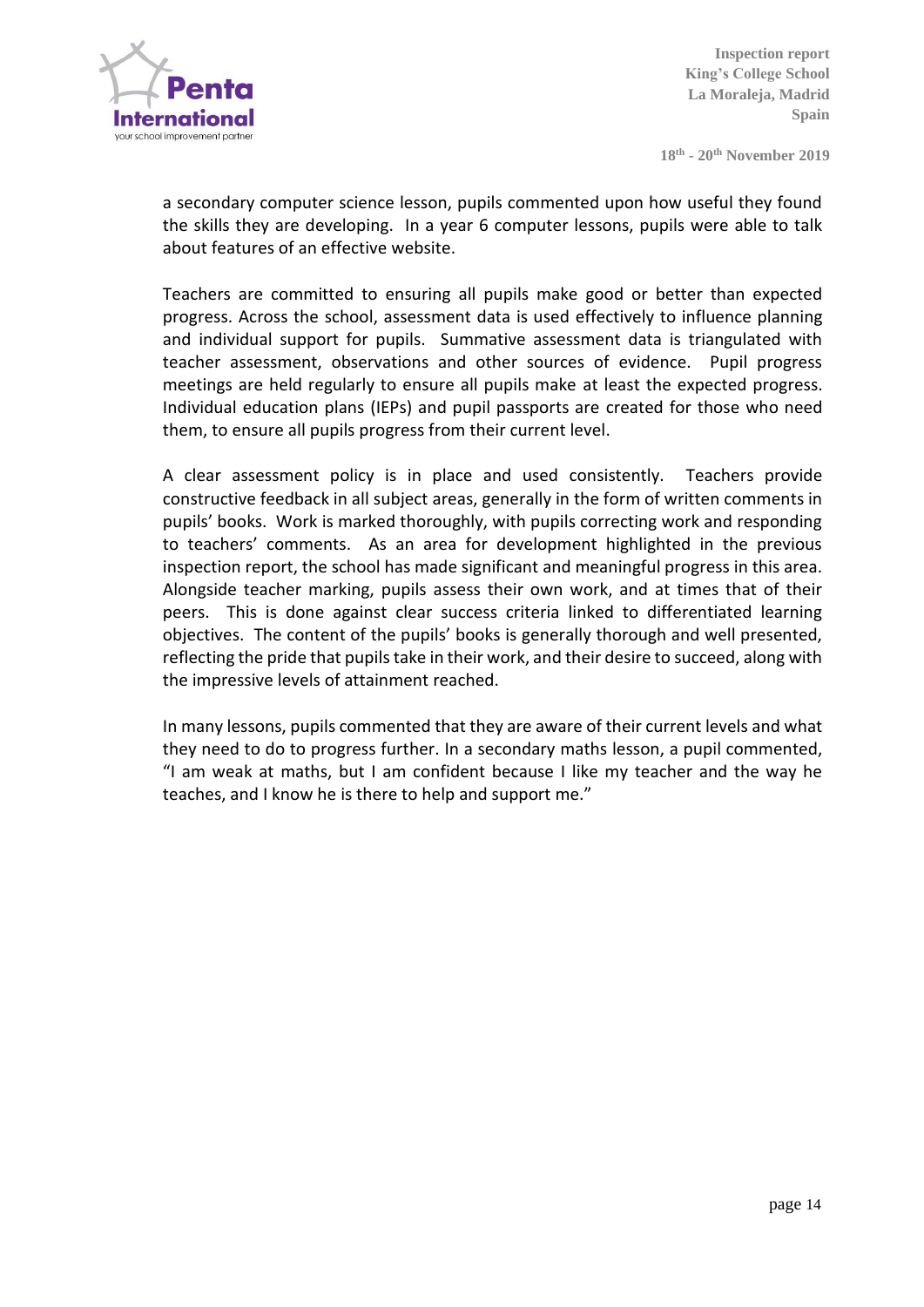

**18th - 20 th November 2019**

a secondary computer science lesson, pupils commented upon how useful they found the skills they are developing. In a year 6 computer lessons, pupils were able to talk about features of an effective website.

Teachers are committed to ensuring all pupils make good or better than expected progress. Across the school, assessment data is used effectively to influence planning and individual support for pupils. Summative assessment data is triangulated with teacher assessment, observations and other sources of evidence. Pupil progress meetings are held regularly to ensure all pupils make at least the expected progress. Individual education plans (IEPs) and pupil passports are created for those who need them, to ensure all pupils progress from their current level.

A clear assessment policy is in place and used consistently. Teachers provide constructive feedback in all subject areas, generally in the form of written comments in pupils' books. Work is marked thoroughly, with pupils correcting work and responding to teachers' comments. As an area for development highlighted in the previous inspection report, the school has made significant and meaningful progress in this area. Alongside teacher marking, pupils assess their own work, and at times that of their peers. This is done against clear success criteria linked to differentiated learning objectives. The content of the pupils' books is generally thorough and well presented, reflecting the pride that pupils take in their work, and their desire to succeed, along with the impressive levels of attainment reached.

In many lessons, pupils commented that they are aware of their current levels and what they need to do to progress further. In a secondary maths lesson, a pupil commented, "I am weak at maths, but I am confident because I like my teacher and the way he teaches, and I know he is there to help and support me."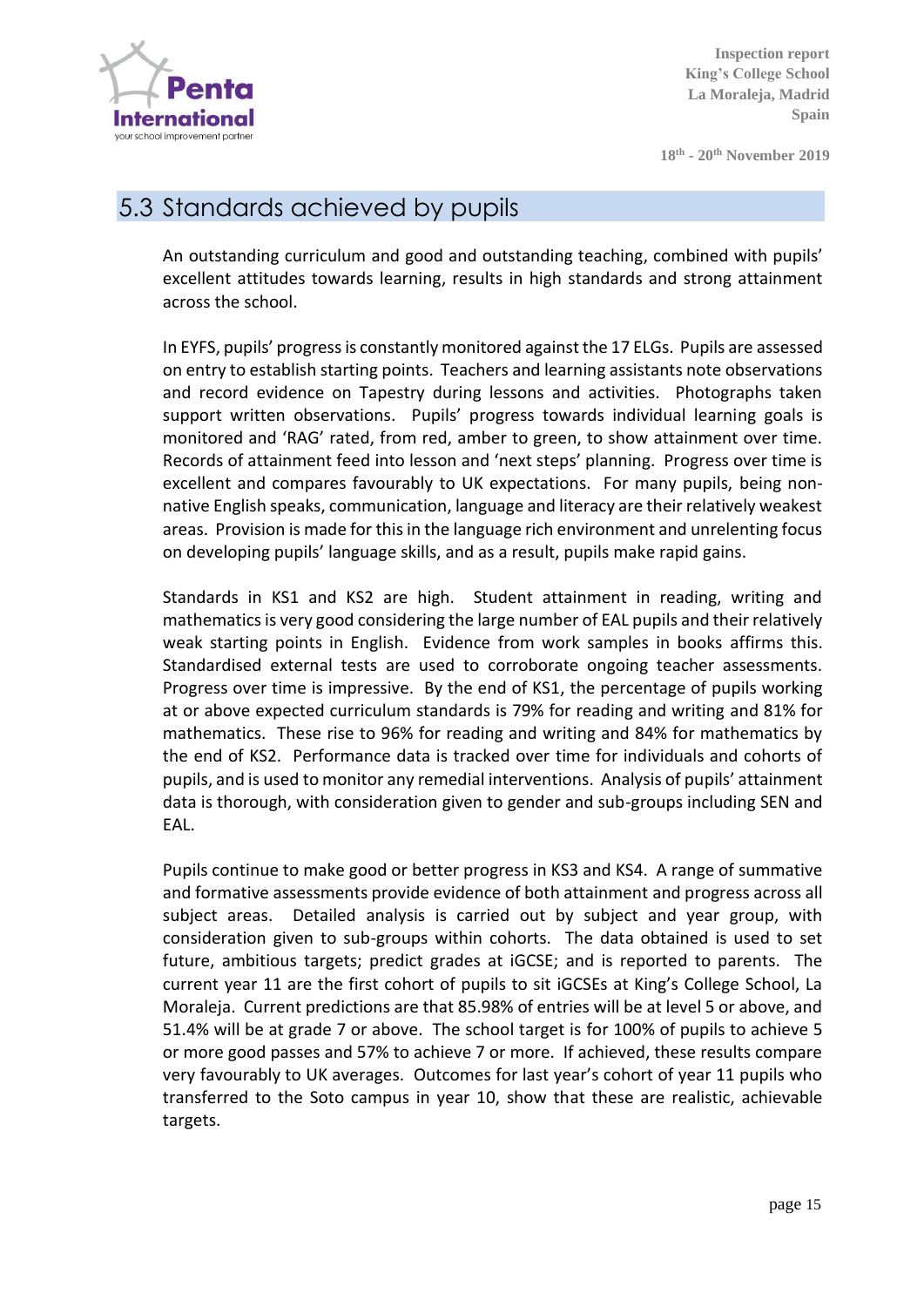

**18th - 20 th November 2019**

#### 5.3 Standards achieved by pupils

An outstanding curriculum and good and outstanding teaching, combined with pupils' excellent attitudes towards learning, results in high standards and strong attainment across the school.

In EYFS, pupils' progress is constantly monitored against the 17 ELGs. Pupils are assessed on entry to establish starting points. Teachers and learning assistants note observations and record evidence on Tapestry during lessons and activities. Photographs taken support written observations. Pupils' progress towards individual learning goals is monitored and 'RAG' rated, from red, amber to green, to show attainment over time. Records of attainment feed into lesson and 'next steps' planning. Progress over time is excellent and compares favourably to UK expectations. For many pupils, being nonnative English speaks, communication, language and literacy are their relatively weakest areas. Provision is made for this in the language rich environment and unrelenting focus on developing pupils' language skills, and as a result, pupils make rapid gains.

Standards in KS1 and KS2 are high. Student attainment in reading, writing and mathematics is very good considering the large number of EAL pupils and their relatively weak starting points in English. Evidence from work samples in books affirms this. Standardised external tests are used to corroborate ongoing teacher assessments. Progress over time is impressive. By the end of KS1, the percentage of pupils working at or above expected curriculum standards is 79% for reading and writing and 81% for mathematics. These rise to 96% for reading and writing and 84% for mathematics by the end of KS2. Performance data is tracked over time for individuals and cohorts of pupils, and is used to monitor any remedial interventions. Analysis of pupils' attainment data is thorough, with consideration given to gender and sub-groups including SEN and EAL.

Pupils continue to make good or better progress in KS3 and KS4. A range of summative and formative assessments provide evidence of both attainment and progress across all subject areas. Detailed analysis is carried out by subject and year group, with consideration given to sub-groups within cohorts. The data obtained is used to set future, ambitious targets; predict grades at iGCSE; and is reported to parents. The current year 11 are the first cohort of pupils to sit iGCSEs at King's College School, La Moraleja. Current predictions are that 85.98% of entries will be at level 5 or above, and 51.4% will be at grade 7 or above. The school target is for 100% of pupils to achieve 5 or more good passes and 57% to achieve 7 or more. If achieved, these results compare very favourably to UK averages. Outcomes for last year's cohort of year 11 pupils who transferred to the Soto campus in year 10, show that these are realistic, achievable targets.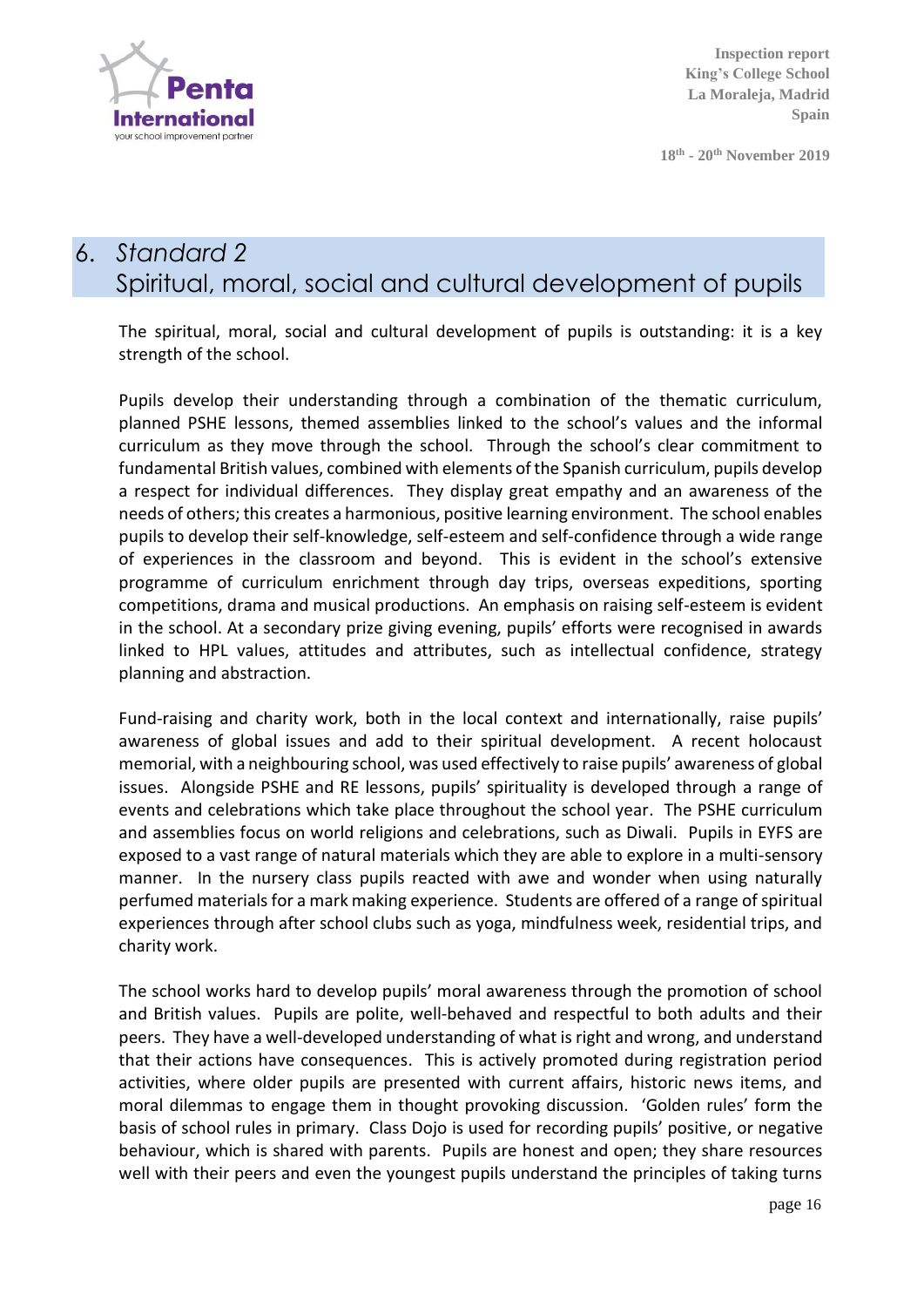

**18th - 20 th November 2019**

# 6. *Standard 2* Spiritual, moral, social and cultural development of pupils

The spiritual, moral, social and cultural development of pupils is outstanding: it is a key strength of the school.

Pupils develop their understanding through a combination of the thematic curriculum, planned PSHE lessons, themed assemblies linked to the school's values and the informal curriculum as they move through the school. Through the school's clear commitment to fundamental British values, combined with elements of the Spanish curriculum, pupils develop a respect for individual differences. They display great empathy and an awareness of the needs of others; this creates a harmonious, positive learning environment. The school enables pupils to develop their self-knowledge, self-esteem and self-confidence through a wide range of experiences in the classroom and beyond. This is evident in the school's extensive programme of curriculum enrichment through day trips, overseas expeditions, sporting competitions, drama and musical productions. An emphasis on raising self-esteem is evident in the school. At a secondary prize giving evening, pupils' efforts were recognised in awards linked to HPL values, attitudes and attributes, such as intellectual confidence, strategy planning and abstraction.

Fund-raising and charity work, both in the local context and internationally, raise pupils' awareness of global issues and add to their spiritual development. A recent holocaust memorial, with a neighbouring school, was used effectively to raise pupils' awareness of global issues. Alongside PSHE and RE lessons, pupils' spirituality is developed through a range of events and celebrations which take place throughout the school year. The PSHE curriculum and assemblies focus on world religions and celebrations, such as Diwali. Pupils in EYFS are exposed to a vast range of natural materials which they are able to explore in a multi-sensory manner. In the nursery class pupils reacted with awe and wonder when using naturally perfumed materials for a mark making experience. Students are offered of a range of spiritual experiences through after school clubs such as yoga, mindfulness week, residential trips, and charity work.

The school works hard to develop pupils' moral awareness through the promotion of school and British values. Pupils are polite, well-behaved and respectful to both adults and their peers. They have a well-developed understanding of what is right and wrong, and understand that their actions have consequences. This is actively promoted during registration period activities, where older pupils are presented with current affairs, historic news items, and moral dilemmas to engage them in thought provoking discussion. 'Golden rules' form the basis of school rules in primary. Class Dojo is used for recording pupils' positive, or negative behaviour, which is shared with parents. Pupils are honest and open; they share resources well with their peers and even the youngest pupils understand the principles of taking turns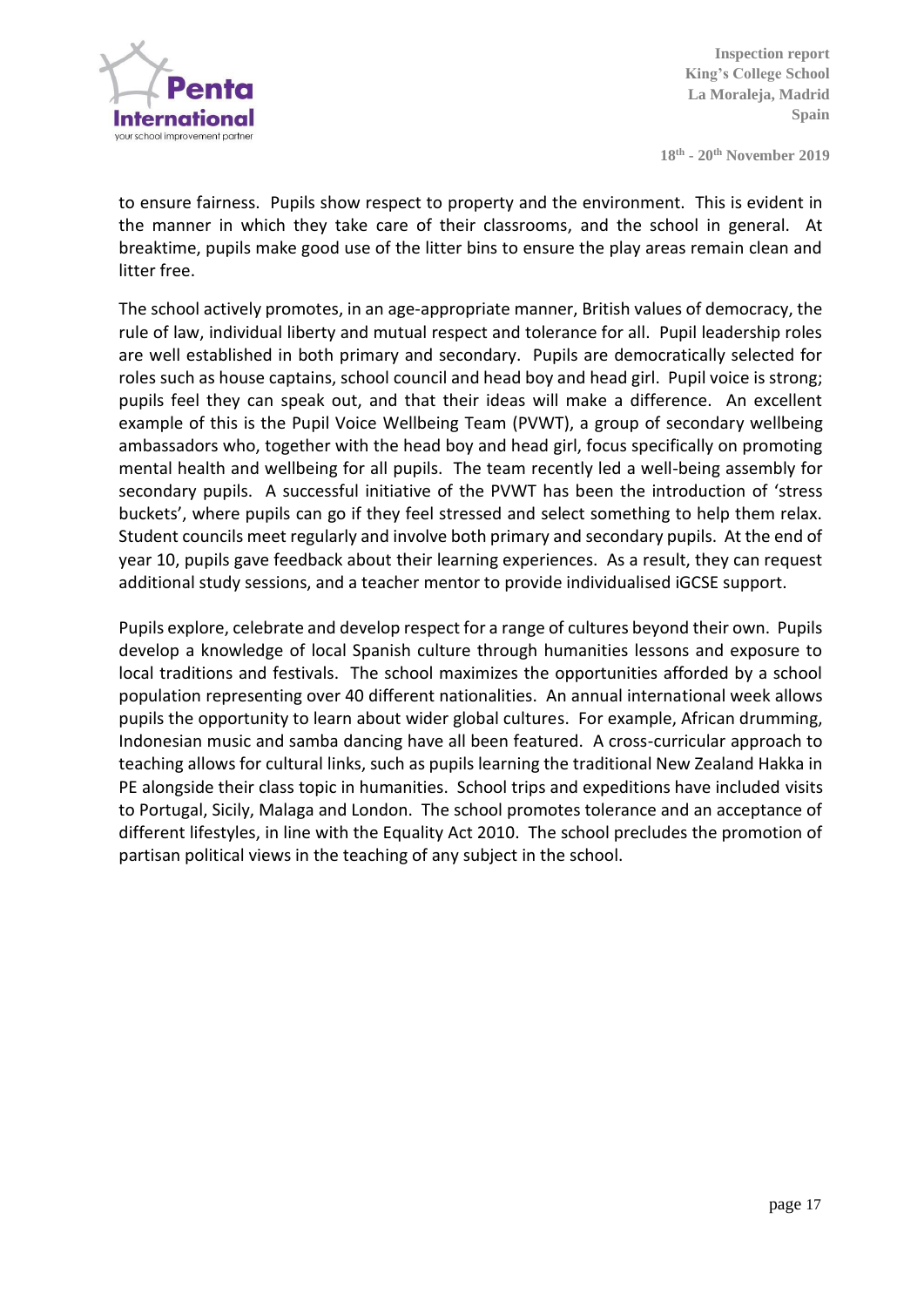

**18th - 20 th November 2019**

to ensure fairness. Pupils show respect to property and the environment. This is evident in the manner in which they take care of their classrooms, and the school in general. At breaktime, pupils make good use of the litter bins to ensure the play areas remain clean and litter free.

The school actively promotes, in an age-appropriate manner, British values of democracy, the rule of law, individual liberty and mutual respect and tolerance for all. Pupil leadership roles are well established in both primary and secondary. Pupils are democratically selected for roles such as house captains, school council and head boy and head girl. Pupil voice is strong; pupils feel they can speak out, and that their ideas will make a difference. An excellent example of this is the Pupil Voice Wellbeing Team (PVWT), a group of secondary wellbeing ambassadors who, together with the head boy and head girl, focus specifically on promoting mental health and wellbeing for all pupils. The team recently led a well-being assembly for secondary pupils. A successful initiative of the PVWT has been the introduction of 'stress buckets', where pupils can go if they feel stressed and select something to help them relax. Student councils meet regularly and involve both primary and secondary pupils. At the end of year 10, pupils gave feedback about their learning experiences. As a result, they can request additional study sessions, and a teacher mentor to provide individualised iGCSE support.

Pupils explore, celebrate and develop respect for a range of cultures beyond their own. Pupils develop a knowledge of local Spanish culture through humanities lessons and exposure to local traditions and festivals. The school maximizes the opportunities afforded by a school population representing over 40 different nationalities. An annual international week allows pupils the opportunity to learn about wider global cultures. For example, African drumming, Indonesian music and samba dancing have all been featured. A cross-curricular approach to teaching allows for cultural links, such as pupils learning the traditional New Zealand Hakka in PE alongside their class topic in humanities. School trips and expeditions have included visits to Portugal, Sicily, Malaga and London. The school promotes tolerance and an acceptance of different lifestyles, in line with the Equality Act 2010. The school precludes the promotion of partisan political views in the teaching of any subject in the school.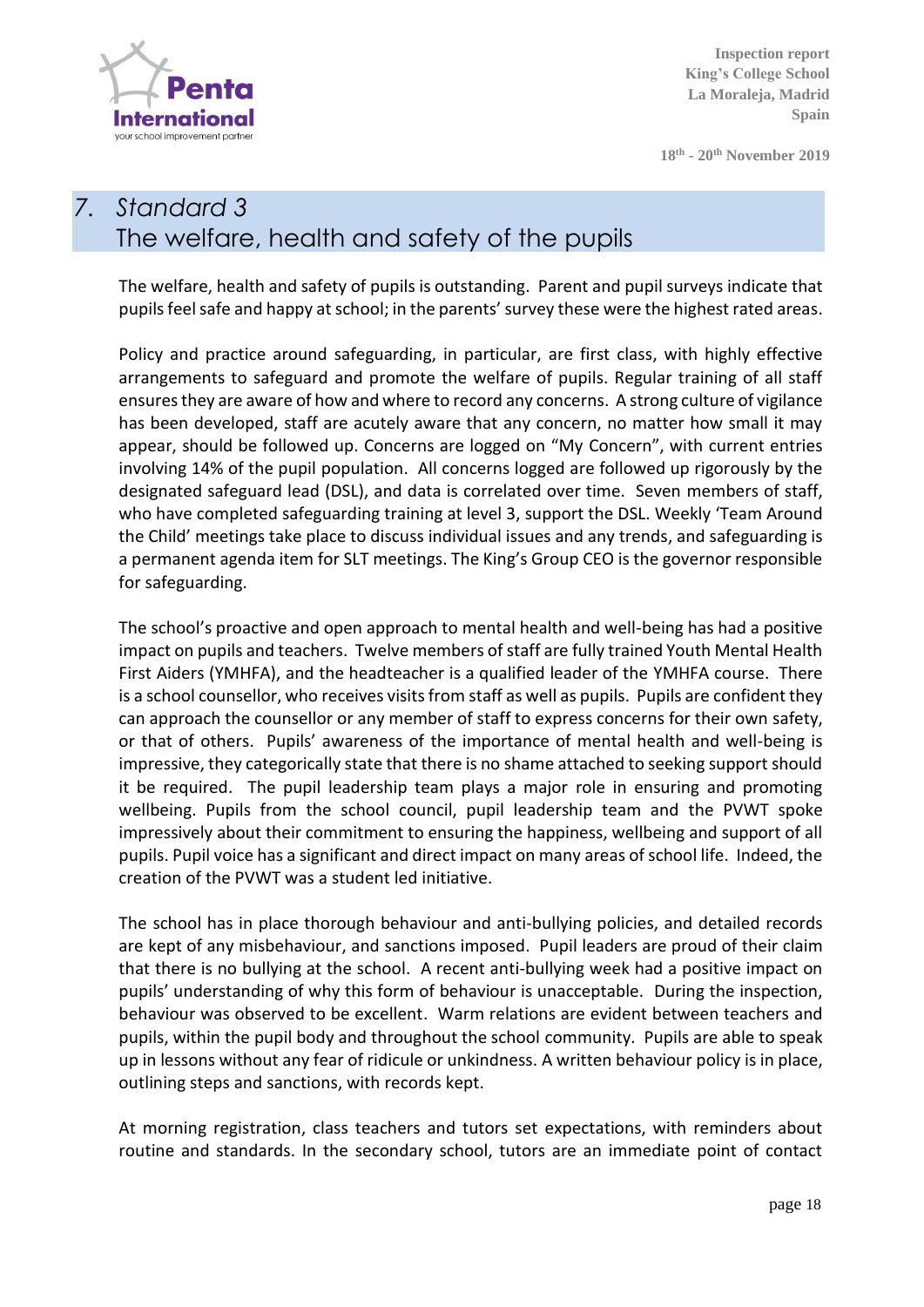

**18th - 20 th November 2019**

# *7. Standard 3* The welfare, health and safety of the pupils

The welfare, health and safety of pupils is outstanding. Parent and pupil surveys indicate that pupils feel safe and happy at school; in the parents' survey these were the highest rated areas.

Policy and practice around safeguarding, in particular, are first class, with highly effective arrangements to safeguard and promote the welfare of pupils. Regular training of all staff ensures they are aware of how and where to record any concerns. A strong culture of vigilance has been developed, staff are acutely aware that any concern, no matter how small it may appear, should be followed up. Concerns are logged on "My Concern", with current entries involving 14% of the pupil population. All concerns logged are followed up rigorously by the designated safeguard lead (DSL), and data is correlated over time. Seven members of staff, who have completed safeguarding training at level 3, support the DSL. Weekly 'Team Around the Child' meetings take place to discuss individual issues and any trends, and safeguarding is a permanent agenda item for SLT meetings. The King's Group CEO is the governor responsible for safeguarding.

The school's proactive and open approach to mental health and well-being has had a positive impact on pupils and teachers. Twelve members of staff are fully trained Youth Mental Health First Aiders (YMHFA), and the headteacher is a qualified leader of the YMHFA course. There is a school counsellor, who receives visits from staff as well as pupils. Pupils are confident they can approach the counsellor or any member of staff to express concerns for their own safety, or that of others. Pupils' awareness of the importance of mental health and well-being is impressive, they categorically state that there is no shame attached to seeking support should it be required. The pupil leadership team plays a major role in ensuring and promoting wellbeing. Pupils from the school council, pupil leadership team and the PVWT spoke impressively about their commitment to ensuring the happiness, wellbeing and support of all pupils. Pupil voice has a significant and direct impact on many areas of school life. Indeed, the creation of the PVWT was a student led initiative.

The school has in place thorough behaviour and anti-bullying policies, and detailed records are kept of any misbehaviour, and sanctions imposed. Pupil leaders are proud of their claim that there is no bullying at the school. A recent anti-bullying week had a positive impact on pupils' understanding of why this form of behaviour is unacceptable. During the inspection, behaviour was observed to be excellent. Warm relations are evident between teachers and pupils, within the pupil body and throughout the school community. Pupils are able to speak up in lessons without any fear of ridicule or unkindness. A written behaviour policy is in place, outlining steps and sanctions, with records kept.

At morning registration, class teachers and tutors set expectations, with reminders about routine and standards. In the secondary school, tutors are an immediate point of contact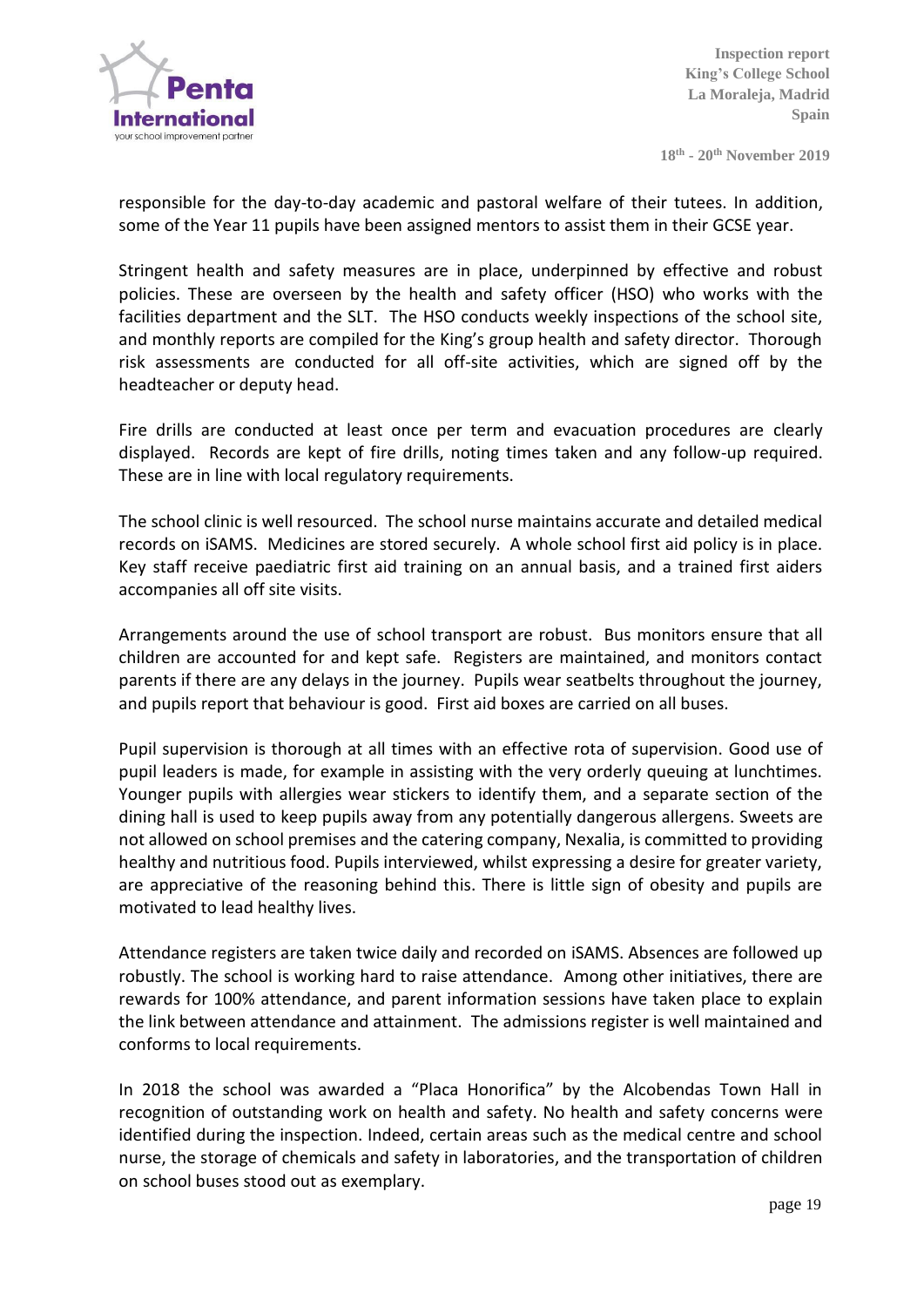

**18th - 20 th November 2019**

responsible for the day-to-day academic and pastoral welfare of their tutees. In addition, some of the Year 11 pupils have been assigned mentors to assist them in their GCSE year.

Stringent health and safety measures are in place, underpinned by effective and robust policies. These are overseen by the health and safety officer (HSO) who works with the facilities department and the SLT. The HSO conducts weekly inspections of the school site, and monthly reports are compiled for the King's group health and safety director. Thorough risk assessments are conducted for all off-site activities, which are signed off by the headteacher or deputy head.

Fire drills are conducted at least once per term and evacuation procedures are clearly displayed. Records are kept of fire drills, noting times taken and any follow-up required. These are in line with local regulatory requirements.

The school clinic is well resourced. The school nurse maintains accurate and detailed medical records on iSAMS. Medicines are stored securely. A whole school first aid policy is in place. Key staff receive paediatric first aid training on an annual basis, and a trained first aiders accompanies all off site visits.

Arrangements around the use of school transport are robust. Bus monitors ensure that all children are accounted for and kept safe. Registers are maintained, and monitors contact parents if there are any delays in the journey. Pupils wear seatbelts throughout the journey, and pupils report that behaviour is good. First aid boxes are carried on all buses.

Pupil supervision is thorough at all times with an effective rota of supervision. Good use of pupil leaders is made, for example in assisting with the very orderly queuing at lunchtimes. Younger pupils with allergies wear stickers to identify them, and a separate section of the dining hall is used to keep pupils away from any potentially dangerous allergens. Sweets are not allowed on school premises and the catering company, Nexalia, is committed to providing healthy and nutritious food. Pupils interviewed, whilst expressing a desire for greater variety, are appreciative of the reasoning behind this. There is little sign of obesity and pupils are motivated to lead healthy lives.

Attendance registers are taken twice daily and recorded on iSAMS. Absences are followed up robustly. The school is working hard to raise attendance. Among other initiatives, there are rewards for 100% attendance, and parent information sessions have taken place to explain the link between attendance and attainment. The admissions register is well maintained and conforms to local requirements.

In 2018 the school was awarded a "Placa Honorifica" by the Alcobendas Town Hall in recognition of outstanding work on health and safety. No health and safety concerns were identified during the inspection. Indeed, certain areas such as the medical centre and school nurse, the storage of chemicals and safety in laboratories, and the transportation of children on school buses stood out as exemplary.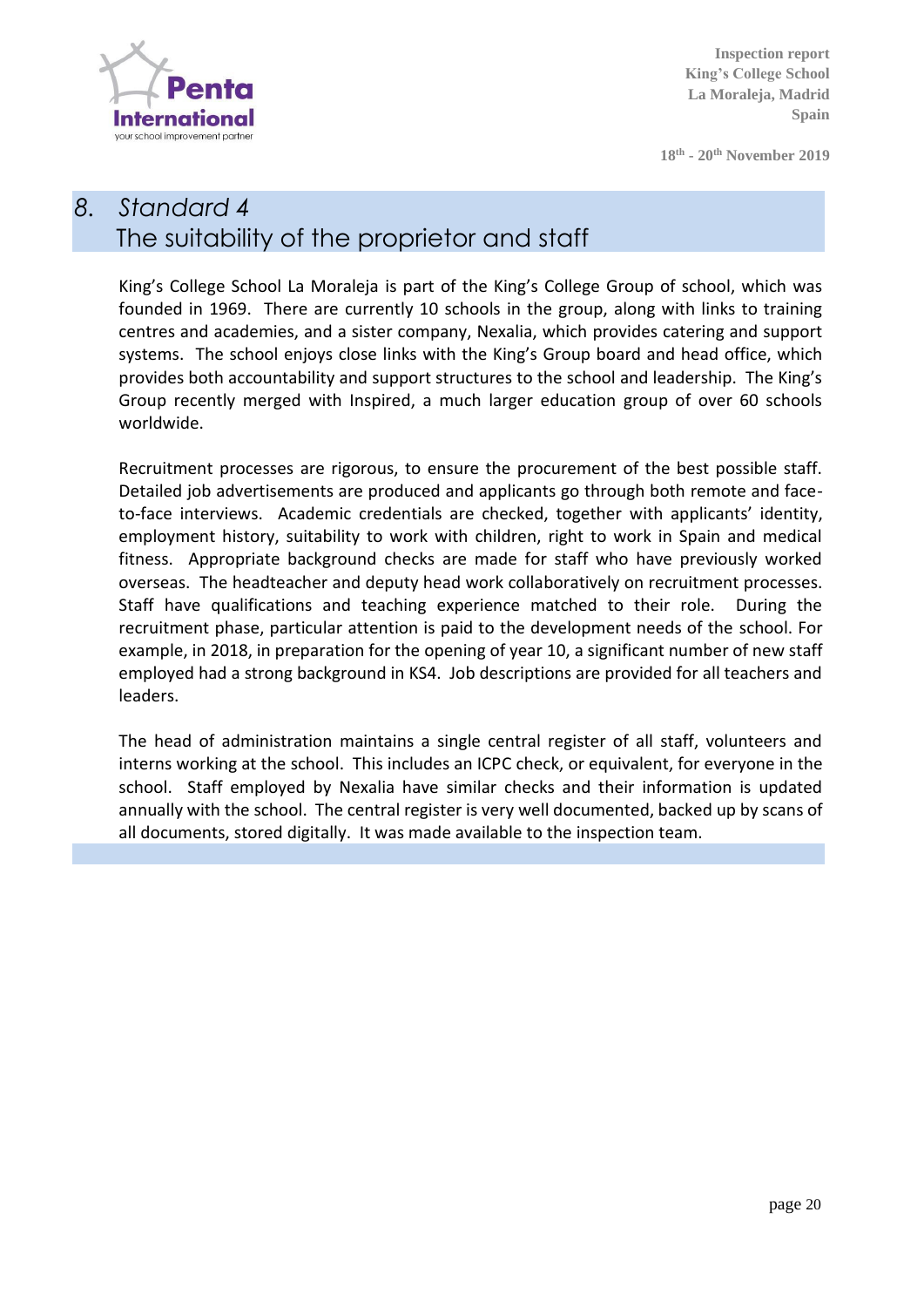

**18th - 20 th November 2019**

# *8. Standard 4* The suitability of the proprietor and staff

King's College School La Moraleja is part of the King's College Group of school, which was founded in 1969. There are currently 10 schools in the group, along with links to training centres and academies, and a sister company, Nexalia, which provides catering and support systems. The school enjoys close links with the King's Group board and head office, which provides both accountability and support structures to the school and leadership. The King's Group recently merged with Inspired, a much larger education group of over 60 schools worldwide.

Recruitment processes are rigorous, to ensure the procurement of the best possible staff. Detailed job advertisements are produced and applicants go through both remote and faceto-face interviews. Academic credentials are checked, together with applicants' identity, employment history, suitability to work with children, right to work in Spain and medical fitness. Appropriate background checks are made for staff who have previously worked overseas. The headteacher and deputy head work collaboratively on recruitment processes. Staff have qualifications and teaching experience matched to their role. During the recruitment phase, particular attention is paid to the development needs of the school. For example, in 2018, in preparation for the opening of year 10, a significant number of new staff employed had a strong background in KS4. Job descriptions are provided for all teachers and leaders.

The head of administration maintains a single central register of all staff, volunteers and interns working at the school. This includes an ICPC check, or equivalent, for everyone in the school. Staff employed by Nexalia have similar checks and their information is updated annually with the school. The central register is very well documented, backed up by scans of all documents, stored digitally. It was made available to the inspection team.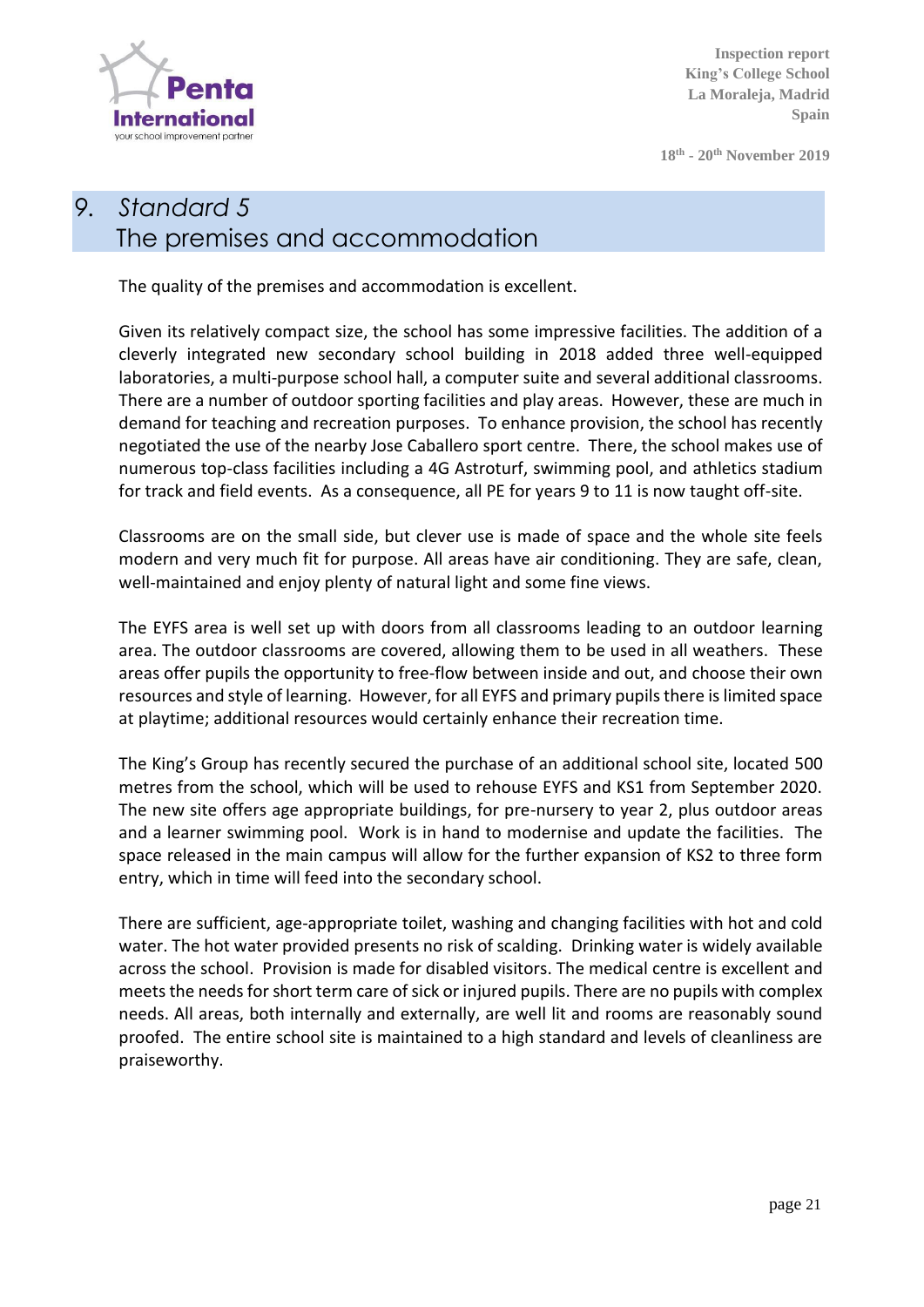

**18th - 20 th November 2019**

# *9. Standard 5* The premises and accommodation

The quality of the premises and accommodation is excellent.

Given its relatively compact size, the school has some impressive facilities. The addition of a cleverly integrated new secondary school building in 2018 added three well-equipped laboratories, a multi-purpose school hall, a computer suite and several additional classrooms. There are a number of outdoor sporting facilities and play areas. However, these are much in demand for teaching and recreation purposes. To enhance provision, the school has recently negotiated the use of the nearby Jose Caballero sport centre. There, the school makes use of numerous top-class facilities including a 4G Astroturf, swimming pool, and athletics stadium for track and field events. As a consequence, all PE for years 9 to 11 is now taught off-site.

Classrooms are on the small side, but clever use is made of space and the whole site feels modern and very much fit for purpose. All areas have air conditioning. They are safe, clean, well-maintained and enjoy plenty of natural light and some fine views.

The EYFS area is well set up with doors from all classrooms leading to an outdoor learning area. The outdoor classrooms are covered, allowing them to be used in all weathers. These areas offer pupils the opportunity to free-flow between inside and out, and choose their own resources and style of learning. However, for all EYFS and primary pupils there is limited space at playtime; additional resources would certainly enhance their recreation time.

The King's Group has recently secured the purchase of an additional school site, located 500 metres from the school, which will be used to rehouse EYFS and KS1 from September 2020. The new site offers age appropriate buildings, for pre-nursery to year 2, plus outdoor areas and a learner swimming pool. Work is in hand to modernise and update the facilities. The space released in the main campus will allow for the further expansion of KS2 to three form entry, which in time will feed into the secondary school.

There are sufficient, age-appropriate toilet, washing and changing facilities with hot and cold water. The hot water provided presents no risk of scalding. Drinking water is widely available across the school. Provision is made for disabled visitors. The medical centre is excellent and meets the needs for short term care of sick or injured pupils. There are no pupils with complex needs. All areas, both internally and externally, are well lit and rooms are reasonably sound proofed. The entire school site is maintained to a high standard and levels of cleanliness are praiseworthy.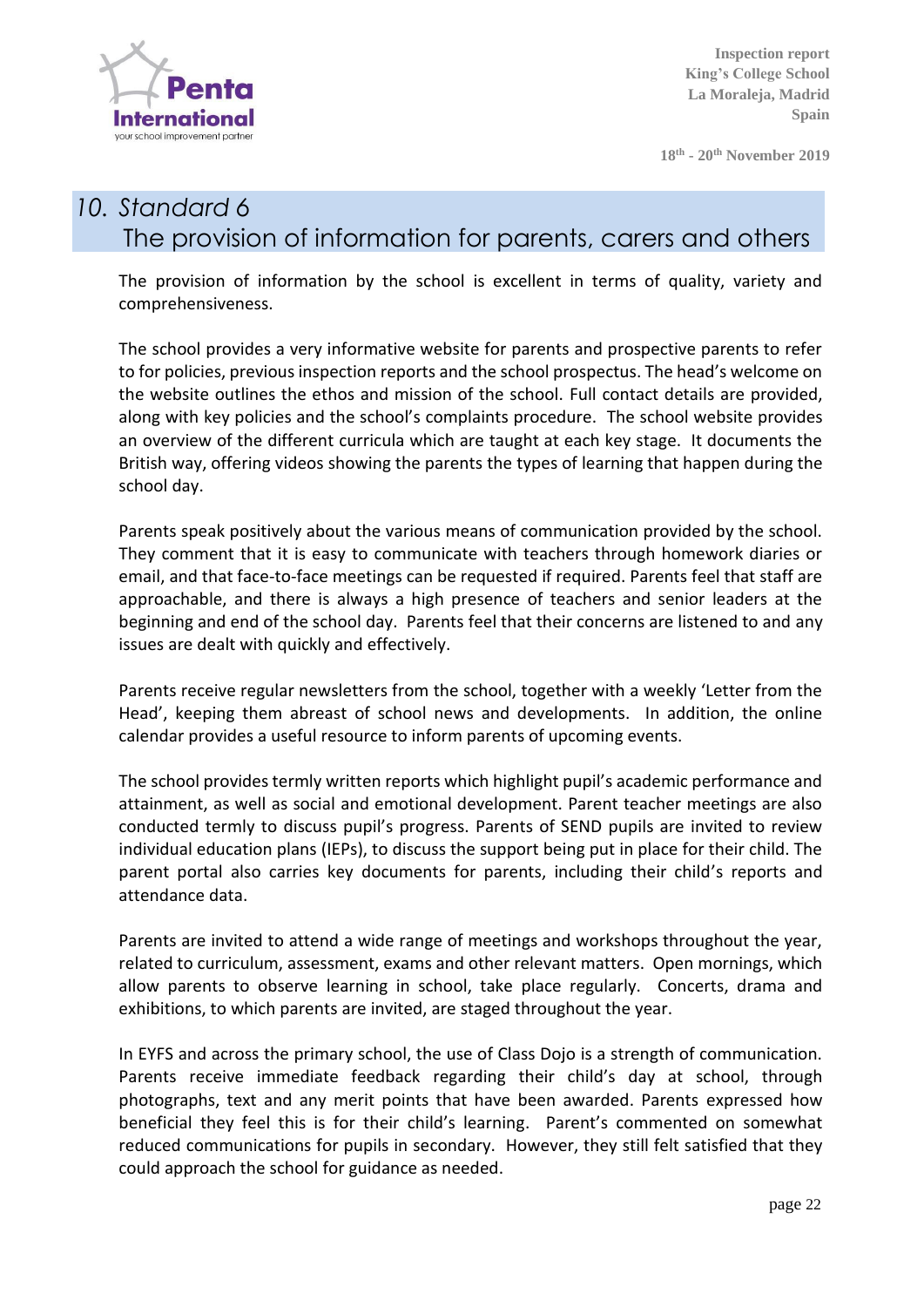

**18th - 20 th November 2019**

## *10. Standard 6* The provision of information for parents, carers and others

The provision of information by the school is excellent in terms of quality, variety and comprehensiveness.

The school provides a very informative website for parents and prospective parents to refer to for policies, previous inspection reports and the school prospectus. The head's welcome on the website outlines the ethos and mission of the school. Full contact details are provided, along with key policies and the school's complaints procedure. The school website provides an overview of the different curricula which are taught at each key stage. It documents the British way, offering videos showing the parents the types of learning that happen during the school day.

Parents speak positively about the various means of communication provided by the school. They comment that it is easy to communicate with teachers through homework diaries or email, and that face-to-face meetings can be requested if required. Parents feel that staff are approachable, and there is always a high presence of teachers and senior leaders at the beginning and end of the school day. Parents feel that their concerns are listened to and any issues are dealt with quickly and effectively.

Parents receive regular newsletters from the school, together with a weekly 'Letter from the Head', keeping them abreast of school news and developments. In addition, the online calendar provides a useful resource to inform parents of upcoming events.

The school provides termly written reports which highlight pupil's academic performance and attainment, as well as social and emotional development. Parent teacher meetings are also conducted termly to discuss pupil's progress. Parents of SEND pupils are invited to review individual education plans (IEPs), to discuss the support being put in place for their child. The parent portal also carries key documents for parents, including their child's reports and attendance data.

Parents are invited to attend a wide range of meetings and workshops throughout the year, related to curriculum, assessment, exams and other relevant matters. Open mornings, which allow parents to observe learning in school, take place regularly. Concerts, drama and exhibitions, to which parents are invited, are staged throughout the year.

In EYFS and across the primary school, the use of Class Dojo is a strength of communication. Parents receive immediate feedback regarding their child's day at school, through photographs, text and any merit points that have been awarded. Parents expressed how beneficial they feel this is for their child's learning. Parent's commented on somewhat reduced communications for pupils in secondary. However, they still felt satisfied that they could approach the school for guidance as needed.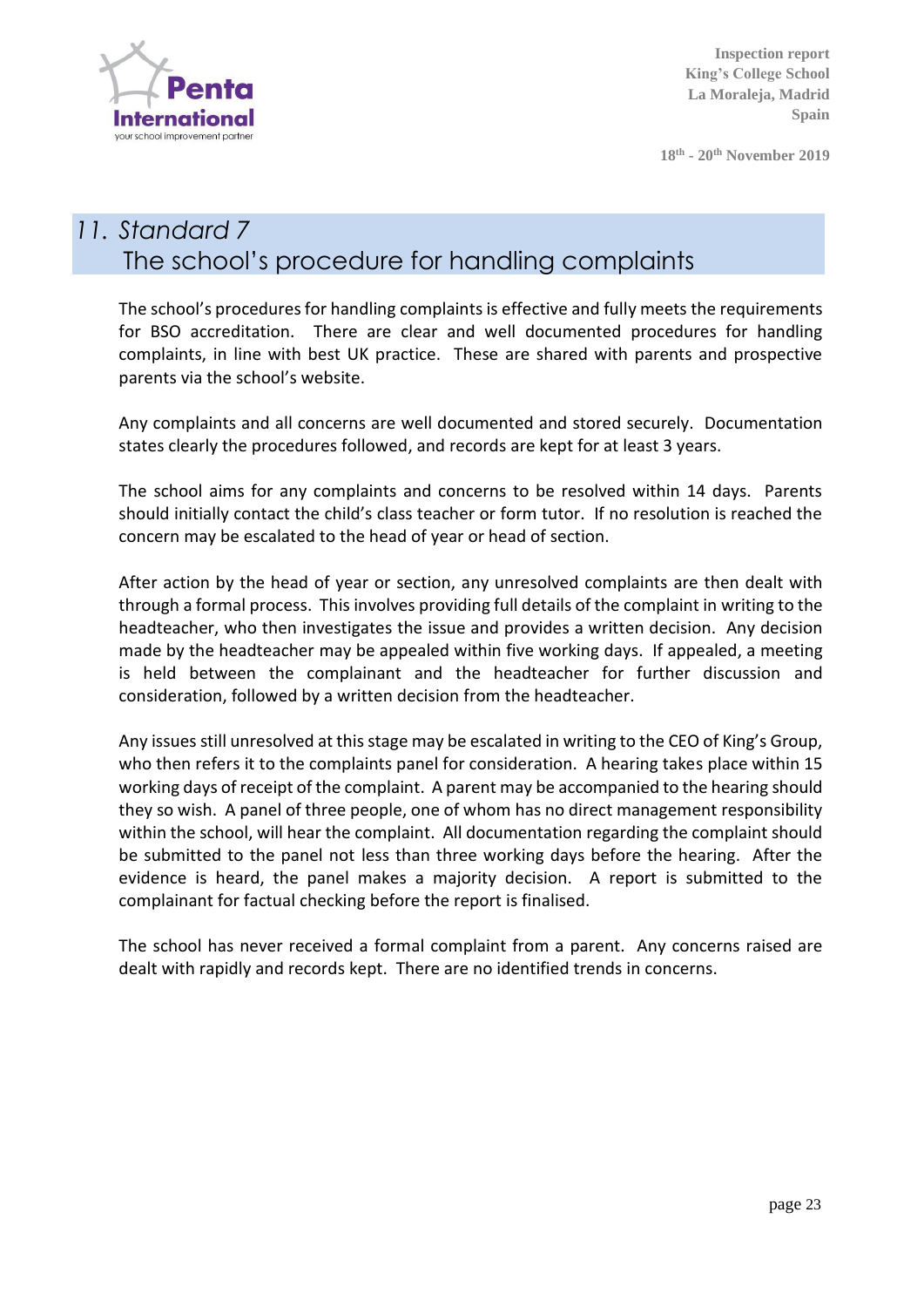

**18th - 20 th November 2019**

#### *11. Standard 7* The school's procedure for handling complaints

The school's procedures for handling complaints is effective and fully meets the requirements for BSO accreditation. There are clear and well documented procedures for handling complaints, in line with best UK practice. These are shared with parents and prospective parents via the school's website.

Any complaints and all concerns are well documented and stored securely. Documentation states clearly the procedures followed, and records are kept for at least 3 years.

The school aims for any complaints and concerns to be resolved within 14 days. Parents should initially contact the child's class teacher or form tutor. If no resolution is reached the concern may be escalated to the head of year or head of section.

After action by the head of year or section, any unresolved complaints are then dealt with through a formal process. This involves providing full details of the complaint in writing to the headteacher, who then investigates the issue and provides a written decision. Any decision made by the headteacher may be appealed within five working days. If appealed, a meeting is held between the complainant and the headteacher for further discussion and consideration, followed by a written decision from the headteacher.

Any issues still unresolved at this stage may be escalated in writing to the CEO of King's Group, who then refers it to the complaints panel for consideration. A hearing takes place within 15 working days of receipt of the complaint. A parent may be accompanied to the hearing should they so wish. A panel of three people, one of whom has no direct management responsibility within the school, will hear the complaint. All documentation regarding the complaint should be submitted to the panel not less than three working days before the hearing. After the evidence is heard, the panel makes a majority decision. A report is submitted to the complainant for factual checking before the report is finalised.

The school has never received a formal complaint from a parent. Any concerns raised are dealt with rapidly and records kept. There are no identified trends in concerns.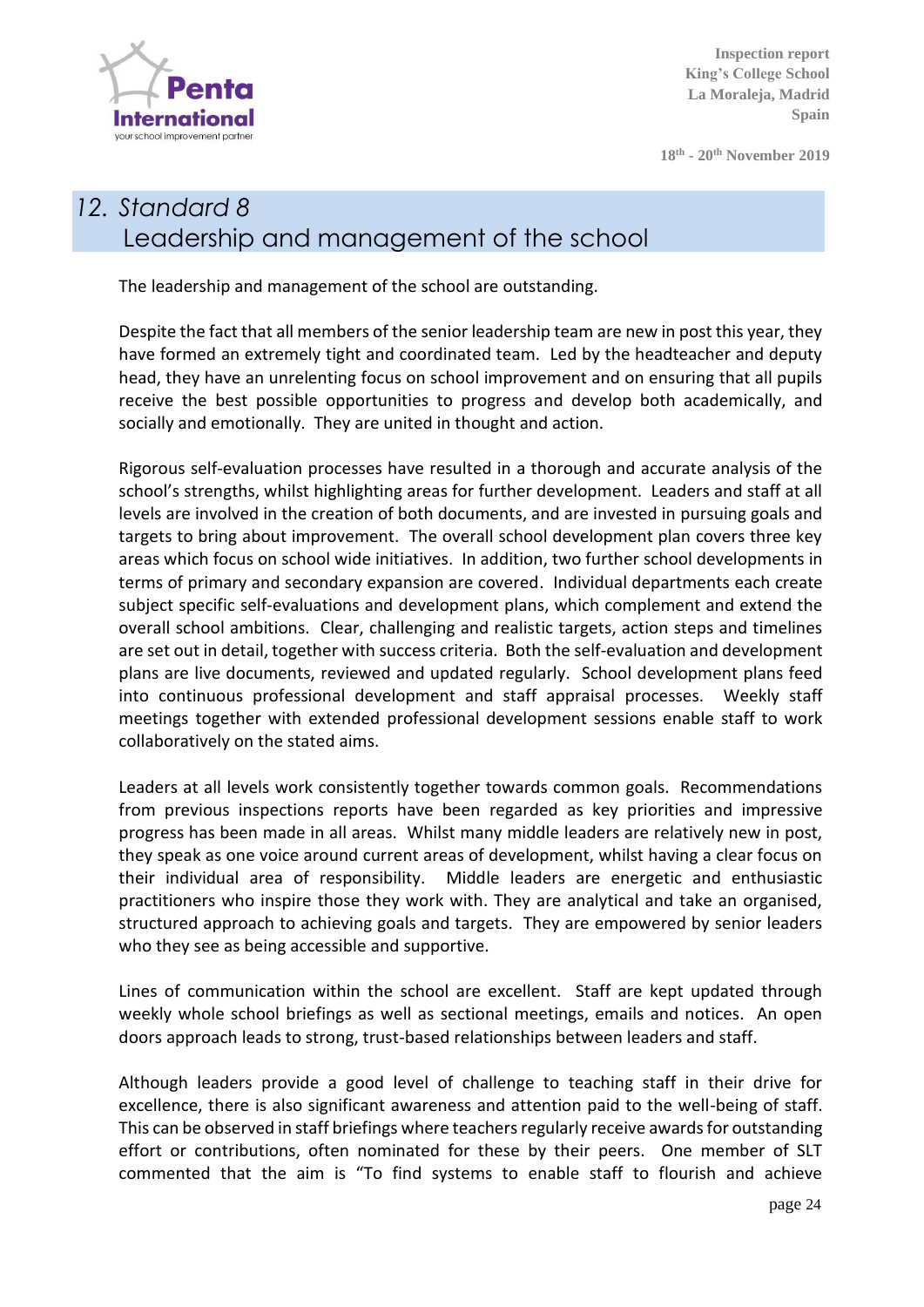

**18th - 20 th November 2019**

# *12. Standard 8* Leadership and management of the school

The leadership and management of the school are outstanding.

Despite the fact that all members of the senior leadership team are new in post this year, they have formed an extremely tight and coordinated team. Led by the headteacher and deputy head, they have an unrelenting focus on school improvement and on ensuring that all pupils receive the best possible opportunities to progress and develop both academically, and socially and emotionally. They are united in thought and action.

Rigorous self-evaluation processes have resulted in a thorough and accurate analysis of the school's strengths, whilst highlighting areas for further development. Leaders and staff at all levels are involved in the creation of both documents, and are invested in pursuing goals and targets to bring about improvement. The overall school development plan covers three key areas which focus on school wide initiatives. In addition, two further school developments in terms of primary and secondary expansion are covered. Individual departments each create subject specific self-evaluations and development plans, which complement and extend the overall school ambitions. Clear, challenging and realistic targets, action steps and timelines are set out in detail, together with success criteria. Both the self-evaluation and development plans are live documents, reviewed and updated regularly. School development plans feed into continuous professional development and staff appraisal processes. Weekly staff meetings together with extended professional development sessions enable staff to work collaboratively on the stated aims.

Leaders at all levels work consistently together towards common goals. Recommendations from previous inspections reports have been regarded as key priorities and impressive progress has been made in all areas. Whilst many middle leaders are relatively new in post, they speak as one voice around current areas of development, whilst having a clear focus on their individual area of responsibility. Middle leaders are energetic and enthusiastic practitioners who inspire those they work with. They are analytical and take an organised, structured approach to achieving goals and targets. They are empowered by senior leaders who they see as being accessible and supportive.

Lines of communication within the school are excellent. Staff are kept updated through weekly whole school briefings as well as sectional meetings, emails and notices. An open doors approach leads to strong, trust-based relationships between leaders and staff.

Although leaders provide a good level of challenge to teaching staff in their drive for excellence, there is also significant awareness and attention paid to the well-being of staff. This can be observed in staff briefings where teachers regularly receive awards for outstanding effort or contributions, often nominated for these by their peers. One member of SLT commented that the aim is "To find systems to enable staff to flourish and achieve